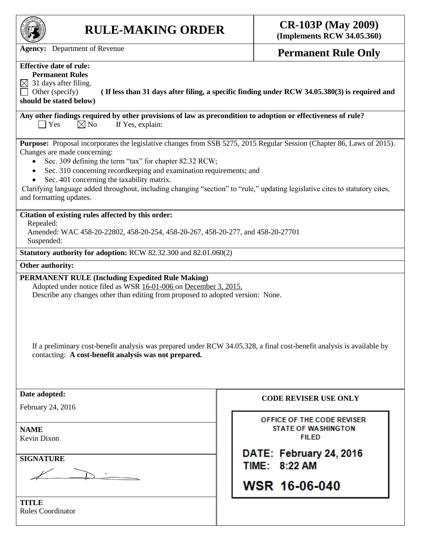

# **RULE-MAKING ORDER CR-103P (May 2009)**

**(Implements RCW 34.05.360)**

Agency: Department of Revenue **Permanent Rule Only** 

# **Effective date of rule:**

**Permanent Rules**  $\boxtimes$  31 days after filing.

Other (specify) **( If less than 31 days after filing, a specific finding under RCW 34.05.380(3) is required and should be stated below)**

**Any other findings required by other provisions of law as precondition to adoption or effectiveness of rule?**  $\bigcap$  Yes  $\bigotimes$  No If Yes, explain:

**Purpose:** Proposal incorporates the legislative changes from SSB 5275, 2015 Regular Session (Chapter 86, Laws of 2015). Changes are made concerning:

- Sec. 309 defining the term "tax" for chapter 82.32 RCW;
- Sec. 310 concerning recordkeeping and examination requirements; and
- Sec. 401 concerning the taxability matrix.

Clarifying language added throughout, including changing "section" to "rule," updating legislative cites to statutory cites, and formatting updates.

# **Citation of existing rules affected by this order:**

Repealed:

Amended: WAC 458-20-22802, 458-20-254, 458-20-267, 458-20-277, and 458-20-27701 Suspended:

**Statutory authority for adoption:** RCW 82.32.300 and 82.01.060(2)

## **Other authority:**

# **PERMANENT RULE (Including Expedited Rule Making)**

Adopted under notice filed as WSR 16-01-006 on December 3, 2015.

Describe any changes other than editing from proposed to adopted version: None.

If a preliminary cost-benefit analysis was prepared under RCW 34.05.328, a final cost-benefit analysis is available by contacting: **A cost-benefit analysis was not prepared.**

| Date adopted:                            | <b>CODE REVISER USE ONLY</b>                                             |  |
|------------------------------------------|--------------------------------------------------------------------------|--|
| February 24, 2016                        |                                                                          |  |
| <b>NAME</b><br>Kevin Dixon               | OFFICE OF THE CODE REVISER<br><b>STATE OF WASHINGTON</b><br><b>FILED</b> |  |
| <b>SIGNATURE</b>                         | DATE: February 24, 2016<br>TIME: 8:22 AM                                 |  |
|                                          | WSR 16-06-040                                                            |  |
| <b>TITLE</b><br><b>Rules Coordinator</b> |                                                                          |  |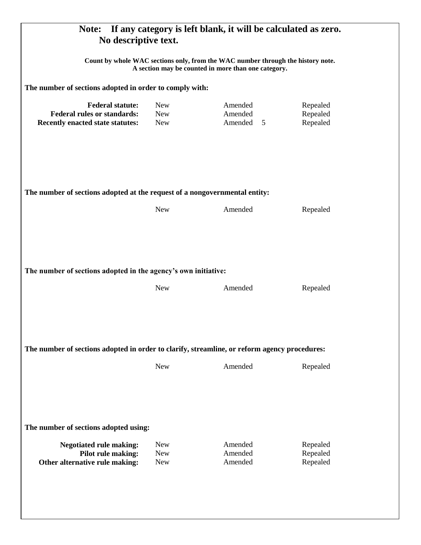| If any category is left blank, it will be calculated as zero.<br>Note:<br>No descriptive text.                                                                                                    |                                        |                               |                                  |  |  |  |
|---------------------------------------------------------------------------------------------------------------------------------------------------------------------------------------------------|----------------------------------------|-------------------------------|----------------------------------|--|--|--|
| Count by whole WAC sections only, from the WAC number through the history note.<br>A section may be counted in more than one category.<br>The number of sections adopted in order to comply with: |                                        |                               |                                  |  |  |  |
|                                                                                                                                                                                                   |                                        |                               |                                  |  |  |  |
| The number of sections adopted at the request of a nongovernmental entity:<br><b>New</b><br>Amended<br>Repealed                                                                                   |                                        |                               |                                  |  |  |  |
| The number of sections adopted in the agency's own initiative:                                                                                                                                    |                                        |                               |                                  |  |  |  |
|                                                                                                                                                                                                   | <b>New</b>                             | Amended                       | Repealed                         |  |  |  |
| The number of sections adopted in order to clarify, streamline, or reform agency procedures:                                                                                                      |                                        |                               |                                  |  |  |  |
|                                                                                                                                                                                                   | <b>New</b>                             | Amended                       | Repealed                         |  |  |  |
| The number of sections adopted using:                                                                                                                                                             |                                        |                               |                                  |  |  |  |
| <b>Negotiated rule making:</b><br>Pilot rule making:<br>Other alternative rule making:                                                                                                            | <b>New</b><br><b>New</b><br><b>New</b> | Amended<br>Amended<br>Amended | Repealed<br>Repealed<br>Repealed |  |  |  |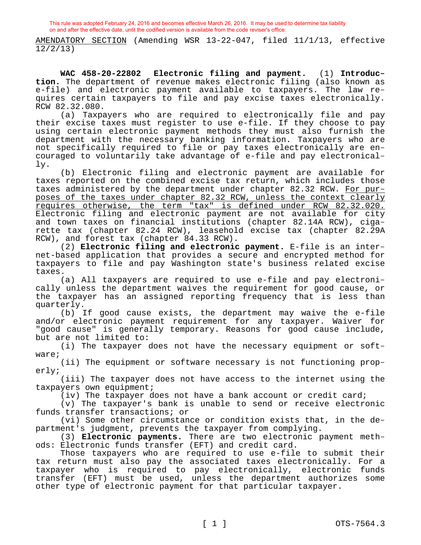AMENDATORY SECTION (Amending WSR 13-22-047, filed 11/1/13, effective 12/2/13)

**WAC 458-20-22802 Electronic filing and payment.** (1) **Introduction.** The department of revenue makes electronic filing (also known as e-file) and electronic payment available to taxpayers. The law requires certain taxpayers to file and pay excise taxes electronically. RCW 82.32.080.

(a) Taxpayers who are required to electronically file and pay their excise taxes must register to use e-file. If they choose to pay using certain electronic payment methods they must also furnish the department with the necessary banking information. Taxpayers who are not specifically required to file or pay taxes electronically are encouraged to voluntarily take advantage of e-file and pay electronically.

(b) Electronic filing and electronic payment are available for taxes reported on the combined excise tax return, which includes those taxes administered by the department under chapter 82.32 RCW. For purposes of the taxes under chapter 82.32 RCW, unless the context clearly requires otherwise, the term "tax" is defined under RCW 82.32.020. Electronic filing and electronic payment are not available for city and town taxes on financial institutions (chapter 82.14A RCW), cigarette tax (chapter 82.24 RCW), leasehold excise tax (chapter 82.29A RCW), and forest tax (chapter 84.33 RCW).

(2) **Electronic filing and electronic payment.** E-file is an internet-based application that provides a secure and encrypted method for taxpayers to file and pay Washington state's business related excise taxes.

(a) All taxpayers are required to use e-file and pay electronically unless the department waives the requirement for good cause, or the taxpayer has an assigned reporting frequency that is less than quarterly.

(b) If good cause exists, the department may waive the e-file and/or electronic payment requirement for any taxpayer. Waiver for "good cause" is generally temporary. Reasons for good cause include, but are not limited to:

(i) The taxpayer does not have the necessary equipment or software;

(ii) The equipment or software necessary is not functioning properly;

(iii) The taxpayer does not have access to the internet using the taxpayers own equipment;

(iv) The taxpayer does not have a bank account or credit card;

(v) The taxpayer's bank is unable to send or receive electronic funds transfer transactions; or

(vi) Some other circumstance or condition exists that, in the department's judgment, prevents the taxpayer from complying.

(3) **Electronic payments.** There are two electronic payment methods: Electronic funds transfer (EFT) and credit card.

Those taxpayers who are required to use e-file to submit their tax return must also pay the associated taxes electronically. For a taxpayer who is required to pay electronically, electronic funds transfer (EFT) must be used, unless the department authorizes some other type of electronic payment for that particular taxpayer.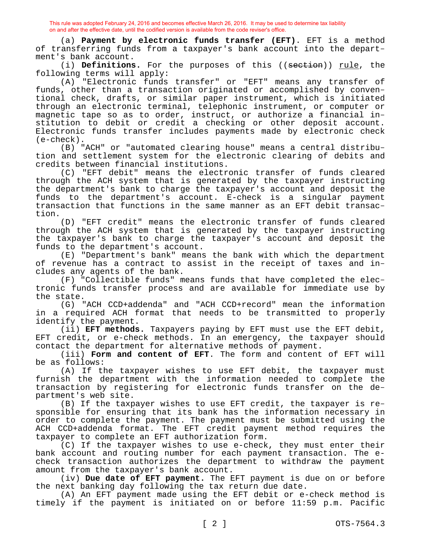(a) **Payment by electronic funds transfer (EFT)**. EFT is a method of transferring funds from a taxpayer's bank account into the department's bank account.

(i) **Definitions.** For the purposes of this ((section)) rule, the following terms will apply:

(A) "Electronic funds transfer" or "EFT" means any transfer of funds, other than a transaction originated or accomplished by conventional check, drafts, or similar paper instrument, which is initiated through an electronic terminal, telephonic instrument, or computer or magnetic tape so as to order, instruct, or authorize a financial institution to debit or credit a checking or other deposit account. Electronic funds transfer includes payments made by electronic check (e-check).

(B) "ACH" or "automated clearing house" means a central distribution and settlement system for the electronic clearing of debits and credits between financial institutions.

(C) "EFT debit" means the electronic transfer of funds cleared through the ACH system that is generated by the taxpayer instructing the department's bank to charge the taxpayer's account and deposit the funds to the department's account. E-check is a singular payment transaction that functions in the same manner as an EFT debit transaction.

(D) "EFT credit" means the electronic transfer of funds cleared through the ACH system that is generated by the taxpayer instructing the taxpayer's bank to charge the taxpayer's account and deposit the funds to the department's account.

(E) "Department's bank" means the bank with which the department of revenue has a contract to assist in the receipt of taxes and includes any agents of the bank.

(F) "Collectible funds" means funds that have completed the electronic funds transfer process and are available for immediate use by the state.

(G) "ACH CCD+addenda" and "ACH CCD+record" mean the information in a required ACH format that needs to be transmitted to properly identify the payment.

(ii) **EFT methods.** Taxpayers paying by EFT must use the EFT debit, EFT credit, or e-check methods. In an emergency, the taxpayer should contact the department for alternative methods of payment.

(iii) **Form and content of EFT**. The form and content of EFT will be as follows:

(A) If the taxpayer wishes to use EFT debit, the taxpayer must furnish the department with the information needed to complete the transaction by registering for electronic funds transfer on the department's web site.

(B) If the taxpayer wishes to use EFT credit, the taxpayer is responsible for ensuring that its bank has the information necessary in order to complete the payment. The payment must be submitted using the ACH CCD+addenda format. The EFT credit payment method requires the taxpayer to complete an EFT authorization form.

(C) If the taxpayer wishes to use e-check, they must enter their bank account and routing number for each payment transaction. The echeck transaction authorizes the department to withdraw the payment amount from the taxpayer's bank account.

(iv) **Due date of EFT payment.** The EFT payment is due on or before the next banking day following the tax return due date.

(A) An EFT payment made using the EFT debit or e-check method is timely if the payment is initiated on or before 11:59 p.m. Pacific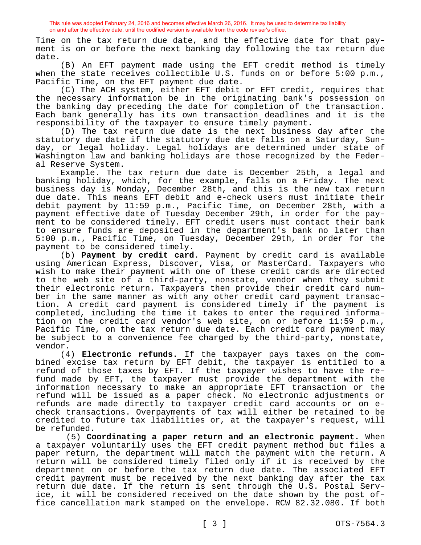Time on the tax return due date, and the effective date for that payment is on or before the next banking day following the tax return due date.

(B) An EFT payment made using the EFT credit method is timely when the state receives collectible U.S. funds on or before 5:00 p.m., Pacific Time, on the EFT payment due date.

(C) The ACH system, either EFT debit or EFT credit, requires that the necessary information be in the originating bank's possession on the banking day preceding the date for completion of the transaction. Each bank generally has its own transaction deadlines and it is the responsibility of the taxpayer to ensure timely payment.

(D) The tax return due date is the next business day after the statutory due date if the statutory due date falls on a Saturday, Sunday, or legal holiday. Legal holidays are determined under state of Washington law and banking holidays are those recognized by the Federal Reserve System.

Example. The tax return due date is December 25th, a legal and banking holiday, which, for the example, falls on a Friday. The next business day is Monday, December 28th, and this is the new tax return due date. This means EFT debit and e-check users must initiate their debit payment by 11:59 p.m., Pacific Time, on December 28th, with a payment effective date of Tuesday December 29th, in order for the payment to be considered timely. EFT credit users must contact their bank to ensure funds are deposited in the department's bank no later than 5:00 p.m., Pacific Time, on Tuesday, December 29th, in order for the payment to be considered timely.

(b) **Payment by credit card**. Payment by credit card is available using American Express, Discover, Visa, or MasterCard. Taxpayers who wish to make their payment with one of these credit cards are directed to the web site of a third-party, nonstate, vendor when they submit their electronic return. Taxpayers then provide their credit card number in the same manner as with any other credit card payment transaction. A credit card payment is considered timely if the payment is completed, including the time it takes to enter the required information on the credit card vendor's web site, on or before 11:59 p.m., Pacific Time, on the tax return due date. Each credit card payment may be subject to a convenience fee charged by the third-party, nonstate, vendor.

(4) **Electronic refunds.** If the taxpayer pays taxes on the combined excise tax return by EFT debit, the taxpayer is entitled to a refund of those taxes by EFT. If the taxpayer wishes to have the refund made by EFT, the taxpayer must provide the department with the information necessary to make an appropriate EFT transaction or the refund will be issued as a paper check. No electronic adjustments or refunds are made directly to taxpayer credit card accounts or on echeck transactions. Overpayments of tax will either be retained to be credited to future tax liabilities or, at the taxpayer's request, will be refunded.

(5) **Coordinating a paper return and an electronic payment.** When a taxpayer voluntarily uses the EFT credit payment method but files a paper return, the department will match the payment with the return. A return will be considered timely filed only if it is received by the department on or before the tax return due date. The associated EFT credit payment must be received by the next banking day after the tax return due date. If the return is sent through the U.S. Postal Service, it will be considered received on the date shown by the post office cancellation mark stamped on the envelope. RCW 82.32.080. If both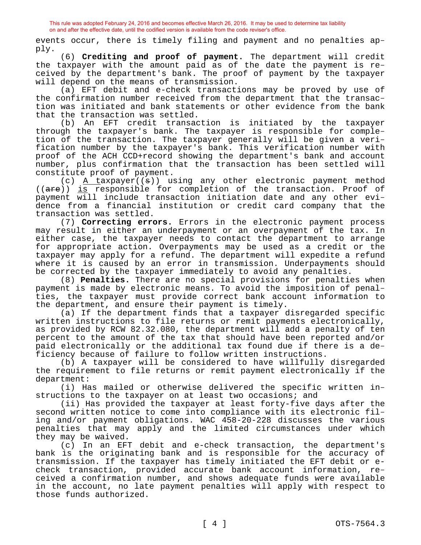events occur, there is timely filing and payment and no penalties apply.

(6) **Crediting and proof of payment.** The department will credit the taxpayer with the amount paid as of the date the payment is received by the department's bank. The proof of payment by the taxpayer will depend on the means of transmission.

(a) EFT debit and e-check transactions may be proved by use of the confirmation number received from the department that the transaction was initiated and bank statements or other evidence from the bank that the transaction was settled.

(b) An EFT credit transaction is initiated by the taxpayer through the taxpayer's bank. The taxpayer is responsible for completion of the transaction. The taxpayer generally will be given a verification number by the taxpayer's bank. This verification number with proof of the ACH CCD+record showing the department's bank and account number, plus confirmation that the transaction has been settled will constitute proof of payment.

(c)  $A$  taxpayer((s)) using any other electronic payment method ((are)) is responsible for completion of the transaction. Proof of payment will include transaction initiation date and any other evidence from a financial institution or credit card company that the transaction was settled.

(7) **Correcting errors.** Errors in the electronic payment process may result in either an underpayment or an overpayment of the tax. In either case, the taxpayer needs to contact the department to arrange for appropriate action. Overpayments may be used as a credit or the taxpayer may apply for a refund. The department will expedite a refund where it is caused by an error in transmission. Underpayments should be corrected by the taxpayer immediately to avoid any penalties.

(8) **Penalties.** There are no special provisions for penalties when payment is made by electronic means. To avoid the imposition of penalties, the taxpayer must provide correct bank account information to the department, and ensure their payment is timely.

(a) If the department finds that a taxpayer disregarded specific written instructions to file returns or remit payments electronically, as provided by RCW 82.32.080, the department will add a penalty of ten percent to the amount of the tax that should have been reported and/or paid electronically or the additional tax found due if there is a deficiency because of failure to follow written instructions.

(b) A taxpayer will be considered to have willfully disregarded the requirement to file returns or remit payment electronically if the department:

(i) Has mailed or otherwise delivered the specific written instructions to the taxpayer on at least two occasions; and

(ii) Has provided the taxpayer at least forty-five days after the second written notice to come into compliance with its electronic filing and/or payment obligations. WAC 458-20-228 discusses the various penalties that may apply and the limited circumstances under which they may be waived.

(c) In an EFT debit and e-check transaction, the department's bank is the originating bank and is responsible for the accuracy of transmission. If the taxpayer has timely initiated the EFT debit or echeck transaction, provided accurate bank account information, received a confirmation number, and shows adequate funds were available in the account, no late payment penalties will apply with respect to those funds authorized.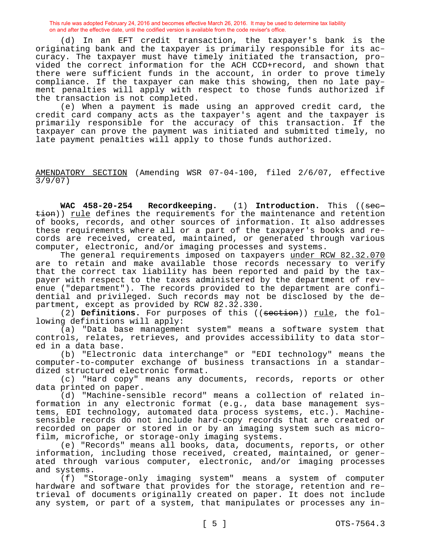(d) In an EFT credit transaction, the taxpayer's bank is the originating bank and the taxpayer is primarily responsible for its accuracy. The taxpayer must have timely initiated the transaction, provided the correct information for the ACH CCD+record, and shown that there were sufficient funds in the account, in order to prove timely compliance. If the taxpayer can make this showing, then no late payment penalties will apply with respect to those funds authorized if the transaction is not completed.

(e) When a payment is made using an approved credit card, the credit card company acts as the taxpayer's agent and the taxpayer is primarily responsible for the accuracy of this transaction. If the taxpayer can prove the payment was initiated and submitted timely, no late payment penalties will apply to those funds authorized.

AMENDATORY SECTION (Amending WSR 07-04-100, filed 2/6/07, effective 3/9/07)

**WAC 458-20-254 Recordkeeping.** (1) **Introduction.** This ((section)) rule defines the requirements for the maintenance and retention of books, records, and other sources of information. It also addresses these requirements where all or a part of the taxpayer's books and records are received, created, maintained, or generated through various computer, electronic, and/or imaging processes and systems.

The general requirements imposed on taxpayers under RCW 82.32.070 are to retain and make available those records necessary to verify that the correct tax liability has been reported and paid by the taxpayer with respect to the taxes administered by the department of revenue ("department"). The records provided to the department are confidential and privileged. Such records may not be disclosed by the department, except as provided by RCW 82.32.330.

(2) **Definitions.** For purposes of this ((section)) rule, the following definitions will apply:

(a) "Data base management system" means a software system that controls, relates, retrieves, and provides accessibility to data stored in a data base.

(b) "Electronic data interchange" or "EDI technology" means the computer-to-computer exchange of business transactions in a standardized structured electronic format.

(c) "Hard copy" means any documents, records, reports or other data printed on paper.

(d) "Machine-sensible record" means a collection of related information in any electronic format (e.g., data base management systems, EDI technology, automated data process systems, etc.). Machinesensible records do not include hard-copy records that are created or recorded on paper or stored in or by an imaging system such as microfilm, microfiche, or storage-only imaging systems.

(e) "Records" means all books, data, documents, reports, or other information, including those received, created, maintained, or generated through various computer, electronic, and/or imaging processes and systems.

(f) "Storage-only imaging system" means a system of computer hardware and software that provides for the storage, retention and retrieval of documents originally created on paper. It does not include any system, or part of a system, that manipulates or processes any in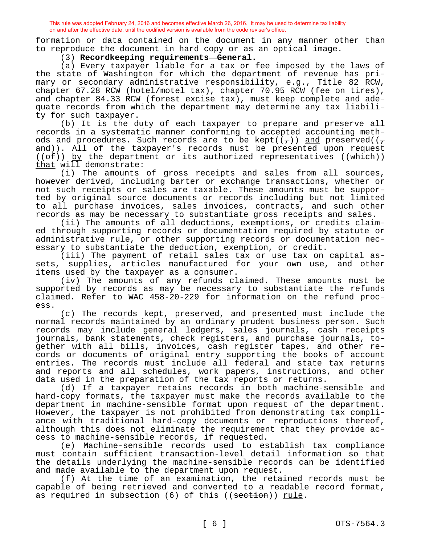formation or data contained on the document in any manner other than to reproduce the document in hard copy or as an optical image.

(3) **Recordkeeping requirements—General.**

(a) Every taxpayer liable for a tax or fee imposed by the laws of the state of Washington for which the department of revenue has primary or secondary administrative responsibility, e.g., Title 82 RCW, chapter 67.28 RCW (hotel/motel tax), chapter 70.95 RCW (fee on tires), and chapter 84.33 RCW (forest excise tax), must keep complete and adequate records from which the department may determine any tax liability for such taxpayer.

(b) It is the duty of each taxpayer to prepare and preserve all records in a systematic manner conforming to accepted accounting methods and procedures. Such records are to be kept( $(\tau)$ ) and preserved( $(\tau)$ and)). All of the taxpayer's records must be presented upon request  $((e f))$  by the department or its authorized representatives  $((\text{which}))$ that will demonstrate:

(i) The amounts of gross receipts and sales from all sources, however derived, including barter or exchange transactions, whether or not such receipts or sales are taxable. These amounts must be supported by original source documents or records including but not limited to all purchase invoices, sales invoices, contracts, and such other records as may be necessary to substantiate gross receipts and sales.

(ii) The amounts of all deductions, exemptions, or credits claimed through supporting records or documentation required by statute or administrative rule, or other supporting records or documentation necessary to substantiate the deduction, exemption, or credit.

(iii) The payment of retail sales tax or use tax on capital assets, supplies, articles manufactured for your own use, and other items used by the taxpayer as a consumer.

(iv) The amounts of any refunds claimed. These amounts must be supported by records as may be necessary to substantiate the refunds claimed. Refer to WAC 458-20-229 for information on the refund process.

(c) The records kept, preserved, and presented must include the normal records maintained by an ordinary prudent business person. Such records may include general ledgers, sales journals, cash receipts journals, bank statements, check registers, and purchase journals, together with all bills, invoices, cash register tapes, and other records or documents of original entry supporting the books of account entries. The records must include all federal and state tax returns and reports and all schedules, work papers, instructions, and other data used in the preparation of the tax reports or returns.

(d) If a taxpayer retains records in both machine-sensible and hard-copy formats, the taxpayer must make the records available to the department in machine-sensible format upon request of the department. However, the taxpayer is not prohibited from demonstrating tax compliance with traditional hard-copy documents or reproductions thereof, although this does not eliminate the requirement that they provide access to machine-sensible records, if requested.

(e) Machine-sensible records used to establish tax compliance must contain sufficient transaction-level detail information so that the details underlying the machine-sensible records can be identified and made available to the department upon request.

(f) At the time of an examination, the retained records must be capable of being retrieved and converted to a readable record format, as required in subsection (6) of this ((<del>section</del>)) rule.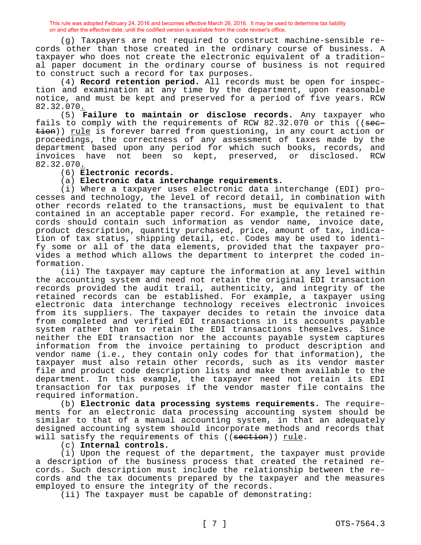(g) Taxpayers are not required to construct machine-sensible records other than those created in the ordinary course of business. A taxpayer who does not create the electronic equivalent of a traditional paper document in the ordinary course of business is not required to construct such a record for tax purposes.

(4) **Record retention period.** All records must be open for inspection and examination at any time by the department, upon reasonable notice, and must be kept and preserved for a period of five years. RCW 82.32.070.

(5) **Failure to maintain or disclose records.** Any taxpayer who fails to comply with the requirements of RCW  $82.32.070$  or this ((section)) rule is forever barred from questioning, in any court action or proceedings, the correctness of any assessment of taxes made by the department based upon any period for which such books, records, and invoices have not been so kept, preserved, or disclosed. RCW 82.32.070.

(6) **Electronic records.**

#### (a) **Electronic data interchange requirements.**

(i) Where a taxpayer uses electronic data interchange (EDI) processes and technology, the level of record detail, in combination with other records related to the transactions, must be equivalent to that contained in an acceptable paper record. For example, the retained records should contain such information as vendor name, invoice date, product description, quantity purchased, price, amount of tax, indication of tax status, shipping detail, etc. Codes may be used to identify some or all of the data elements, provided that the taxpayer provides a method which allows the department to interpret the coded information.

(ii) The taxpayer may capture the information at any level within the accounting system and need not retain the original EDI transaction records provided the audit trail, authenticity, and integrity of the retained records can be established. For example, a taxpayer using electronic data interchange technology receives electronic invoices from its suppliers. The taxpayer decides to retain the invoice data from completed and verified EDI transactions in its accounts payable system rather than to retain the EDI transactions themselves. Since neither the EDI transaction nor the accounts payable system captures information from the invoice pertaining to product description and vendor name (i.e., they contain only codes for that information), the taxpayer must also retain other records, such as its vendor master file and product code description lists and make them available to the department. In this example, the taxpayer need not retain its EDI transaction for tax purposes if the vendor master file contains the required information.

(b) **Electronic data processing systems requirements.** The requirements for an electronic data processing accounting system should be similar to that of a manual accounting system, in that an adequately designed accounting system should incorporate methods and records that will satisfy the requirements of this ((section)) rule.

#### (c) **Internal controls.**

(i) Upon the request of the department, the taxpayer must provide a description of the business process that created the retained records. Such description must include the relationship between the records and the tax documents prepared by the taxpayer and the measures employed to ensure the integrity of the records.

(ii) The taxpayer must be capable of demonstrating: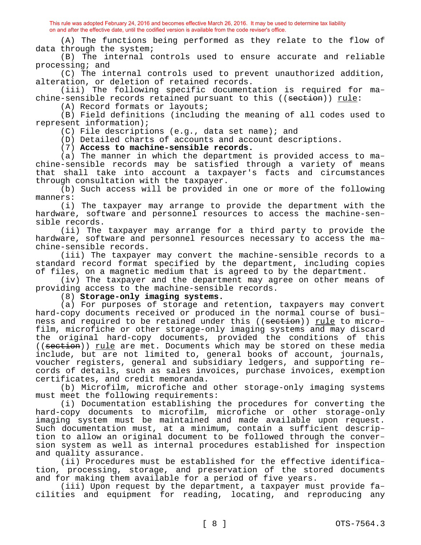(A) The functions being performed as they relate to the flow of data through the system;

(B) The internal controls used to ensure accurate and reliable processing; and

(C) The internal controls used to prevent unauthorized addition, alteration, or deletion of retained records.

(iii) The following specific documentation is required for machine-sensible records retained pursuant to this ((section)) rule:

(A) Record formats or layouts;

(B) Field definitions (including the meaning of all codes used to represent information);

(C) File descriptions (e.g., data set name); and

(D) Detailed charts of accounts and account descriptions.

(7) **Access to machine-sensible records.**

(a) The manner in which the department is provided access to machine-sensible records may be satisfied through a variety of means that shall take into account a taxpayer's facts and circumstances through consultation with the taxpayer.

(b) Such access will be provided in one or more of the following manners:

(i) The taxpayer may arrange to provide the department with the hardware, software and personnel resources to access the machine-sensible records.

(ii) The taxpayer may arrange for a third party to provide the hardware, software and personnel resources necessary to access the machine-sensible records.

(iii) The taxpayer may convert the machine-sensible records to a standard record format specified by the department, including copies of files, on a magnetic medium that is agreed to by the department.

(iv) The taxpayer and the department may agree on other means of providing access to the machine-sensible records.

(8) **Storage-only imaging systems.**

(a) For purposes of storage and retention, taxpayers may convert hard-copy documents received or produced in the normal course of business and required to be retained under this ((section)) rule to microfilm, microfiche or other storage-only imaging systems and may discard the original hard-copy documents, provided the conditions of this ((section)) rule are met. Documents which may be stored on these media include, but are not limited to, general books of account, journals, voucher registers, general and subsidiary ledgers, and supporting records of details, such as sales invoices, purchase invoices, exemption certificates, and credit memoranda.

(b) Microfilm, microfiche and other storage-only imaging systems must meet the following requirements:

(i) Documentation establishing the procedures for converting the hard-copy documents to microfilm, microfiche or other storage-only imaging system must be maintained and made available upon request. Such documentation must, at a minimum, contain a sufficient description to allow an original document to be followed through the conversion system as well as internal procedures established for inspection and quality assurance.

(ii) Procedures must be established for the effective identification, processing, storage, and preservation of the stored documents and for making them available for a period of five years.

(iii) Upon request by the department, a taxpayer must provide facilities and equipment for reading, locating, and reproducing any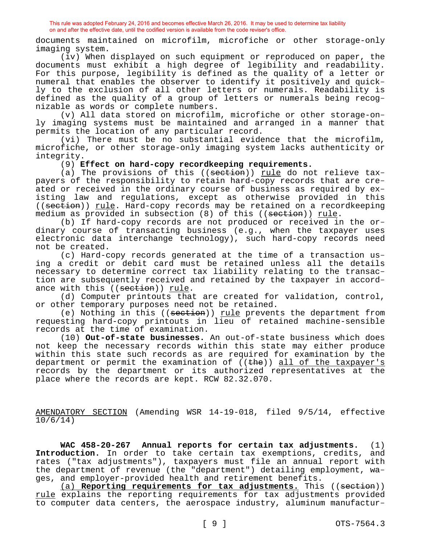documents maintained on microfilm, microfiche or other storage-only imaging system.

(iv) When displayed on such equipment or reproduced on paper, the documents must exhibit a high degree of legibility and readability. For this purpose, legibility is defined as the quality of a letter or numeral that enables the observer to identify it positively and quickly to the exclusion of all other letters or numerals. Readability is defined as the quality of a group of letters or numerals being recognizable as words or complete numbers.

(v) All data stored on microfilm, microfiche or other storage-only imaging systems must be maintained and arranged in a manner that permits the location of any particular record.

(vi) There must be no substantial evidence that the microfilm, microfiche, or other storage-only imaging system lacks authenticity or integrity.

(9) **Effect on hard-copy recordkeeping requirements.**

(a) The provisions of this ((section)) rule do not relieve taxpayers of the responsibility to retain hard-copy records that are created or received in the ordinary course of business as required by existing law and regulations, except as otherwise provided in this ((section)) rule. Hard-copy records may be retained on a recordkeeping medium as provided in subsection (8) of this ((section)) rule.

(b) If hard-copy records are not produced or received in the ordinary course of transacting business (e.g., when the taxpayer uses electronic data interchange technology), such hard-copy records need not be created.

(c) Hard-copy records generated at the time of a transaction using a credit or debit card must be retained unless all the details necessary to determine correct tax liability relating to the transaction are subsequently received and retained by the taxpayer in accordance with this ((section)) rule.

(d) Computer printouts that are created for validation, control, or other temporary purposes need not be retained.

(e) Nothing in this ((section)) rule prevents the department from requesting hard-copy printouts in lieu of retained machine-sensible records at the time of examination.

(10) **Out-of-state businesses.** An out-of-state business which does not keep the necessary records within this state may either produce within this state such records as are required for examination by the department or permit the examination of  $((the h)$  all of the taxpayer's records by the department or its authorized representatives at the place where the records are kept. RCW 82.32.070.

AMENDATORY SECTION (Amending WSR 14-19-018, filed 9/5/14, effective 10/6/14)

**WAC 458-20-267 Annual reports for certain tax adjustments.** (1) **Introduction.** In order to take certain tax exemptions, credits, and rates ("tax adjustments"), taxpayers must file an annual report with the department of revenue (the "department") detailing employment, wages, and employer-provided health and retirement benefits.

(a) **Reporting requirements for tax adjustments.** This ((section)) rule explains the reporting requirements for tax adjustments provided to computer data centers, the aerospace industry, aluminum manufactur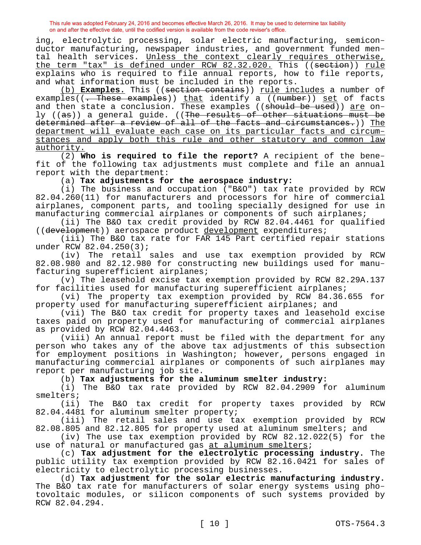ing, electrolytic processing, solar electric manufacturing, semiconductor manufacturing, newspaper industries, and government funded mental health services. Unless the context clearly requires otherwise, the term "tax" is defined under RCW 82.32.020. This ((section)) rule explains who is required to file annual reports, how to file reports, and what information must be included in the reports.

(b) **Examples.** This ((section contains)) rule includes a number of examples((<del>. These examples</del>)) that identify a ((number)) set of facts and then state a conclusion. These examples ((should be used)) are only  $((as))$  a general guide.  $((The results of other situations must be$ determined after a review of all of the facts and circumstances.)) The department will evaluate each case on its particular facts and circumstances and apply both this rule and other statutory and common law authority.

(2) **Who is required to file the report?** A recipient of the benefit of the following tax adjustments must complete and file an annual report with the department:

#### (a) **Tax adjustments for the aerospace industry:**

(i) The business and occupation ("B&O") tax rate provided by RCW 82.04.260(11) for manufacturers and processors for hire of commercial airplanes, component parts, and tooling specially designed for use in manufacturing commercial airplanes or components of such airplanes;

(ii) The B&O tax credit provided by RCW 82.04.4461 for qualified ((development)) aerospace product development expenditures;

(iii) The B&O tax rate for FAR 145 Part certified repair stations under RCW 82.04.250(3);

(iv) The retail sales and use tax exemption provided by RCW 82.08.980 and 82.12.980 for constructing new buildings used for manufacturing superefficient airplanes;

(v) The leasehold excise tax exemption provided by RCW 82.29A.137 for facilities used for manufacturing superefficient airplanes;

(vi) The property tax exemption provided by RCW 84.36.655 for property used for manufacturing superefficient airplanes; and

(vii) The B&O tax credit for property taxes and leasehold excise taxes paid on property used for manufacturing of commercial airplanes as provided by RCW 82.04.4463.

(viii) An annual report must be filed with the department for any person who takes any of the above tax adjustments of this subsection for employment positions in Washington; however, persons engaged in manufacturing commercial airplanes or components of such airplanes may report per manufacturing job site.

(b) **Tax adjustments for the aluminum smelter industry:**

(i) The B&O tax rate provided by RCW 82.04.2909 for aluminum smelters;

(ii) The B&O tax credit for property taxes provided by RCW 82.04.4481 for aluminum smelter property;

(iii) The retail sales and use tax exemption provided by RCW 82.08.805 and 82.12.805 for property used at aluminum smelters; and

(iv) The use tax exemption provided by RCW 82.12.022(5) for the use of natural or manufactured gas at aluminum smelters;

(c) **Tax adjustment for the electrolytic processing industry.** The public utility tax exemption provided by RCW 82.16.0421 for sales of electricity to electrolytic processing businesses.

(d) **Tax adjustment for the solar electric manufacturing industry.**  The B&O tax rate for manufacturers of solar energy systems using photovoltaic modules, or silicon components of such systems provided by RCW 82.04.294.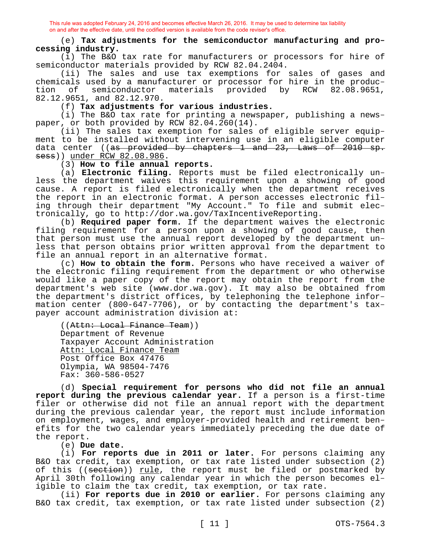### (e) **Tax adjustments for the semiconductor manufacturing and processing industry.**

(i) The B&O tax rate for manufacturers or processors for hire of semiconductor materials provided by RCW 82.04.2404.

(ii) The sales and use tax exemptions for sales of gases and chemicals used by a manufacturer or processor for hire in the produc-<br>tion of semiconductor materials provided by RCW 82.08.9651, tion of semiconductor materials provided by 82.12.9651, and 82.12.970.

#### (f) **Tax adjustments for various industries.**

(i) The B&O tax rate for printing a newspaper, publishing a newspaper, or both provided by RCW 82.04.260(14).

(ii) The sales tax exemption for sales of eligible server equipment to be installed without intervening use in an eligible computer data center ((as provided by chapters 1 and 23, Laws of 2010 sp. sess)) under RCW 82.08.986.

#### (3) **How to file annual reports.**

(a) **Electronic filing.** Reports must be filed electronically unless the department waives this requirement upon a showing of good cause. A report is filed electronically when the department receives the report in an electronic format. A person accesses electronic filing through their department "My Account." To file and submit electronically, go to http://dor.wa.gov/TaxIncentiveReporting.

(b) **Required paper form.** If the department waives the electronic filing requirement for a person upon a showing of good cause, then that person must use the annual report developed by the department unless that person obtains prior written approval from the department to file an annual report in an alternative format.

(c) **How to obtain the form.** Persons who have received a waiver of the electronic filing requirement from the department or who otherwise would like a paper copy of the report may obtain the report from the department's web site (www.dor.wa.gov). It may also be obtained from the department's district offices, by telephoning the telephone information center (800-647-7706), or by contacting the department's taxpayer account administration division at:

```
((Attn: Local Finance Team))
Department of Revenue
Taxpayer Account Administration
Attn: Local Finance Team
Post Office Box 47476
Olympia, WA 98504-7476
Fax: 360-586-0527
```
(d) **Special requirement for persons who did not file an annual report during the previous calendar year.** If a person is a first-time filer or otherwise did not file an annual report with the department during the previous calendar year, the report must include information on employment, wages, and employer-provided health and retirement benefits for the two calendar years immediately preceding the due date of the report.

(e) **Due date.**

(i) **For reports due in 2011 or later.** For persons claiming any B&O tax credit, tax exemption, or tax rate listed under subsection (2) of this ((section)) rule, the report must be filed or postmarked by April 30th following any calendar year in which the person becomes eligible to claim the tax credit, tax exemption, or tax rate.

(ii) **For reports due in 2010 or earlier.** For persons claiming any B&O tax credit, tax exemption, or tax rate listed under subsection (2)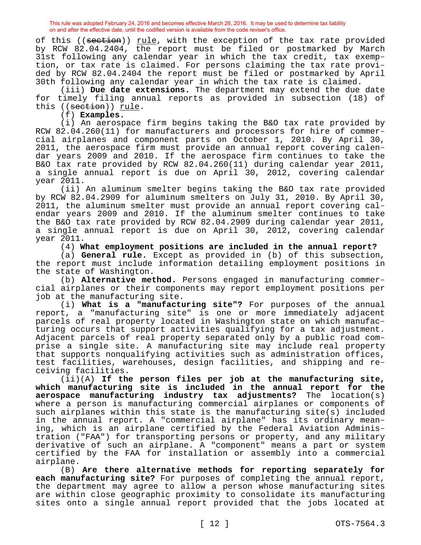of this ((section)) rule, with the exception of the tax rate provided by RCW 82.04.2404, the report must be filed or postmarked by March 31st following any calendar year in which the tax credit, tax exemption, or tax rate is claimed. For persons claiming the tax rate provided by RCW 82.04.2404 the report must be filed or postmarked by April 30th following any calendar year in which the tax rate is claimed.

(iii) **Due date extensions.** The department may extend the due date for timely filing annual reports as provided in subsection (18) of this ((section)) rule.

(f) **Examples.**

(i) An aerospace firm begins taking the B&O tax rate provided by RCW 82.04.260(11) for manufacturers and processors for hire of commercial airplanes and component parts on October 1, 2010. By April 30, 2011, the aerospace firm must provide an annual report covering calendar years 2009 and 2010. If the aerospace firm continues to take the B&O tax rate provided by RCW 82.04.260(11) during calendar year 2011, a single annual report is due on April 30, 2012, covering calendar year 2011.

(ii) An aluminum smelter begins taking the B&O tax rate provided by RCW 82.04.2909 for aluminum smelters on July 31, 2010. By April 30, 2011, the aluminum smelter must provide an annual report covering calendar years 2009 and 2010. If the aluminum smelter continues to take the B&O tax rate provided by RCW 82.04.2909 during calendar year 2011, a single annual report is due on April 30, 2012, covering calendar year 2011.

(4) **What employment positions are included in the annual report?**

(a) **General rule.** Except as provided in (b) of this subsection, the report must include information detailing employment positions in the state of Washington.

(b) **Alternative method.** Persons engaged in manufacturing commercial airplanes or their components may report employment positions per job at the manufacturing site.

(i) **What is a "manufacturing site"?** For purposes of the annual report, a "manufacturing site" is one or more immediately adjacent parcels of real property located in Washington state on which manufacturing occurs that support activities qualifying for a tax adjustment. Adjacent parcels of real property separated only by a public road comprise a single site. A manufacturing site may include real property that supports nonqualifying activities such as administration offices, test facilities, warehouses, design facilities, and shipping and receiving facilities.

(ii)(A) **If the person files per job at the manufacturing site, which manufacturing site is included in the annual report for the aerospace manufacturing industry tax adjustments?** The location(s) where a person is manufacturing commercial airplanes or components of such airplanes within this state is the manufacturing site(s) included in the annual report. A "commercial airplane" has its ordinary meaning, which is an airplane certified by the Federal Aviation Administration ("FAA") for transporting persons or property, and any military derivative of such an airplane. A "component" means a part or system certified by the FAA for installation or assembly into a commercial airplane.

(B) **Are there alternative methods for reporting separately for each manufacturing site?** For purposes of completing the annual report, the department may agree to allow a person whose manufacturing sites are within close geographic proximity to consolidate its manufacturing sites onto a single annual report provided that the jobs located at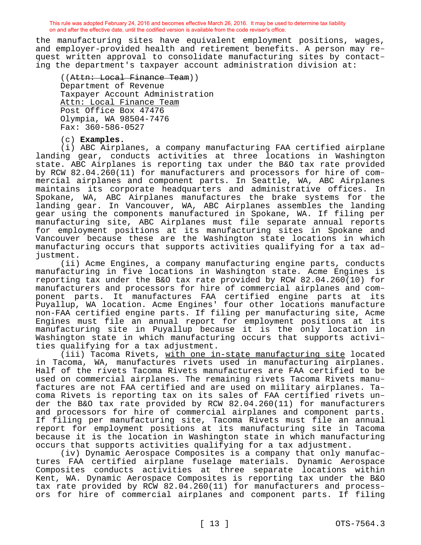the manufacturing sites have equivalent employment positions, wages, and employer-provided health and retirement benefits. A person may request written approval to consolidate manufacturing sites by contacting the department's taxpayer account administration division at:

((Attn: Local Finance Team)) Department of Revenue Taxpayer Account Administration Attn: Local Finance Team Post Office Box 47476 Olympia, WA 98504-7476 Fax: 360-586-0527

(c) **Examples.**

(i) ABC Airplanes, a company manufacturing FAA certified airplane landing gear, conducts activities at three locations in Washington state. ABC Airplanes is reporting tax under the B&O tax rate provided by RCW 82.04.260(11) for manufacturers and processors for hire of commercial airplanes and component parts. In Seattle, WA, ABC Airplanes maintains its corporate headquarters and administrative offices. In Spokane, WA, ABC Airplanes manufactures the brake systems for the landing gear. In Vancouver, WA, ABC Airplanes assembles the landing gear using the components manufactured in Spokane, WA. If filing per manufacturing site, ABC Airplanes must file separate annual reports for employment positions at its manufacturing sites in Spokane and Vancouver because these are the Washington state locations in which manufacturing occurs that supports activities qualifying for a tax adjustment.

(ii) Acme Engines, a company manufacturing engine parts, conducts manufacturing in five locations in Washington state. Acme Engines is reporting tax under the B&O tax rate provided by RCW 82.04.260(10) for manufacturers and processors for hire of commercial airplanes and component parts. It manufactures FAA certified engine parts at its Puyallup, WA location. Acme Engines' four other locations manufacture non-FAA certified engine parts. If filing per manufacturing site, Acme Engines must file an annual report for employment positions at its manufacturing site in Puyallup because it is the only location in Washington state in which manufacturing occurs that supports activities qualifying for a tax adjustment.

(iii) Tacoma Rivets, with one in-state manufacturing site located in Tacoma, WA, manufactures rivets used in manufacturing airplanes. Half of the rivets Tacoma Rivets manufactures are FAA certified to be used on commercial airplanes. The remaining rivets Tacoma Rivets manufactures are not FAA certified and are used on military airplanes. Tacoma Rivets is reporting tax on its sales of FAA certified rivets under the B&O tax rate provided by RCW 82.04.260(11) for manufacturers and processors for hire of commercial airplanes and component parts. If filing per manufacturing site, Tacoma Rivets must file an annual report for employment positions at its manufacturing site in Tacoma because it is the location in Washington state in which manufacturing occurs that supports activities qualifying for a tax adjustment.

(iv) Dynamic Aerospace Composites is a company that only manufactures FAA certified airplane fuselage materials. Dynamic Aerospace Composites conducts activities at three separate locations within Kent, WA. Dynamic Aerospace Composites is reporting tax under the B&O tax rate provided by RCW 82.04.260(11) for manufacturers and processors for hire of commercial airplanes and component parts. If filing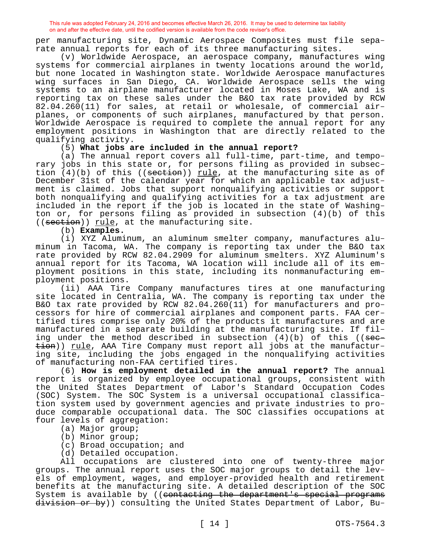per manufacturing site, Dynamic Aerospace Composites must file separate annual reports for each of its three manufacturing sites.

(v) Worldwide Aerospace, an aerospace company, manufactures wing systems for commercial airplanes in twenty locations around the world, but none located in Washington state. Worldwide Aerospace manufactures wing surfaces in San Diego, CA. Worldwide Aerospace sells the wing systems to an airplane manufacturer located in Moses Lake, WA and is reporting tax on these sales under the B&O tax rate provided by RCW 82.04.260(11) for sales, at retail or wholesale, of commercial airplanes, or components of such airplanes, manufactured by that person. Worldwide Aerospace is required to complete the annual report for any employment positions in Washington that are directly related to the qualifying activity.

#### (5) **What jobs are included in the annual report?**

(a) The annual report covers all full-time, part-time, and temporary jobs in this state or, for persons filing as provided in subsection  $(4)(b)$  of this  $((section)$  rule, at the manufacturing site as of December 31st of the calendar year for which an applicable tax adjustment is claimed. Jobs that support nonqualifying activities or support both nonqualifying and qualifying activities for a tax adjustment are included in the report if the job is located in the state of Washington or, for persons filing as provided in subsection (4)(b) of this ((section)) rule, at the manufacturing site.

(b) **Examples.**

(i) XYZ Aluminum, an aluminum smelter company, manufactures aluminum in Tacoma, WA. The company is reporting tax under the B&O tax rate provided by RCW 82.04.2909 for aluminum smelters. XYZ Aluminum's annual report for its Tacoma, WA location will include all of its employment positions in this state, including its nonmanufacturing employment positions.

(ii) AAA Tire Company manufactures tires at one manufacturing site located in Centralia, WA. The company is reporting tax under the B&O tax rate provided by RCW  $82.04.260(11)$  for manufacturers and processors for hire of commercial airplanes and component parts. FAA certified tires comprise only 20% of the products it manufactures and are manufactured in a separate building at the manufacturing site. If filing under the method described in subsection  $(4)(b)$  of this  $(see$ tion)) rule, AAA Tire Company must report all jobs at the manufacturing site, including the jobs engaged in the nonqualifying activities of manufacturing non-FAA certified tires.

(6) **How is employment detailed in the annual report?** The annual report is organized by employee occupational groups, consistent with the United States Department of Labor's Standard Occupation Codes (SOC) System. The SOC System is a universal occupational classification system used by government agencies and private industries to produce comparable occupational data. The SOC classifies occupations at four levels of aggregation:

- (a) Major group;
- (b) Minor group;
- (c) Broad occupation; and
- (d) Detailed occupation.

All occupations are clustered into one of twenty-three major groups. The annual report uses the SOC major groups to detail the levels of employment, wages, and employer-provided health and retirement benefits at the manufacturing site. A detailed description of the SOC System is available by ((contacting the department's special programs division or by)) consulting the United States Department of Labor, Bu-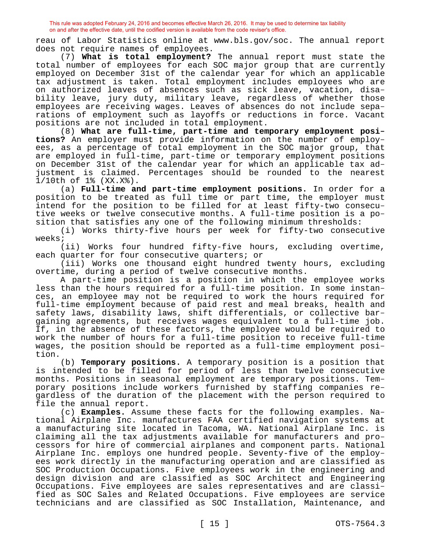reau of Labor Statistics online at www.bls.gov/soc. The annual report does not require names of employees.

(7) **What is total employment?** The annual report must state the total number of employees for each SOC major group that are currently employed on December 31st of the calendar year for which an applicable tax adjustment is taken. Total employment includes employees who are on authorized leaves of absences such as sick leave, vacation, disability leave, jury duty, military leave, regardless of whether those employees are receiving wages. Leaves of absences do not include separations of employment such as layoffs or reductions in force. Vacant positions are not included in total employment.

(8) **What are full-time, part-time and temporary employment positions?** An employer must provide information on the number of employees, as a percentage of total employment in the SOC major group, that are employed in full-time, part-time or temporary employment positions on December 31st of the calendar year for which an applicable tax adjustment is claimed. Percentages should be rounded to the nearest 1/10th of 1% (XX.X%).

(a) **Full-time and part-time employment positions.** In order for a position to be treated as full time or part time, the employer must intend for the position to be filled for at least fifty-two consecutive weeks or twelve consecutive months. A full-time position is a position that satisfies any one of the following minimum thresholds:

(i) Works thirty-five hours per week for fifty-two consecutive weeks;

(ii) Works four hundred fifty-five hours, excluding overtime, each quarter for four consecutive quarters; or

(iii) Works one thousand eight hundred twenty hours, excluding overtime, during a period of twelve consecutive months.

A part-time position is a position in which the employee works less than the hours required for a full-time position. In some instances, an employee may not be required to work the hours required for full-time employment because of paid rest and meal breaks, health and safety laws, disability laws, shift differentials, or collective bargaining agreements, but receives wages equivalent to a full-time job. If, in the absence of these factors, the employee would be required to work the number of hours for a full-time position to receive full-time wages, the position should be reported as a full-time employment position.

(b) **Temporary positions.** A temporary position is a position that is intended to be filled for period of less than twelve consecutive months. Positions in seasonal employment are temporary positions. Temporary positions include workers furnished by staffing companies regardless of the duration of the placement with the person required to file the annual report.

(c) **Examples.** Assume these facts for the following examples. National Airplane Inc. manufactures FAA certified navigation systems at a manufacturing site located in Tacoma, WA. National Airplane Inc. is claiming all the tax adjustments available for manufacturers and processors for hire of commercial airplanes and component parts. National Airplane Inc. employs one hundred people. Seventy-five of the employees work directly in the manufacturing operation and are classified as SOC Production Occupations. Five employees work in the engineering and design division and are classified as SOC Architect and Engineering Occupations. Five employees are sales representatives and are classified as SOC Sales and Related Occupations. Five employees are service technicians and are classified as SOC Installation, Maintenance, and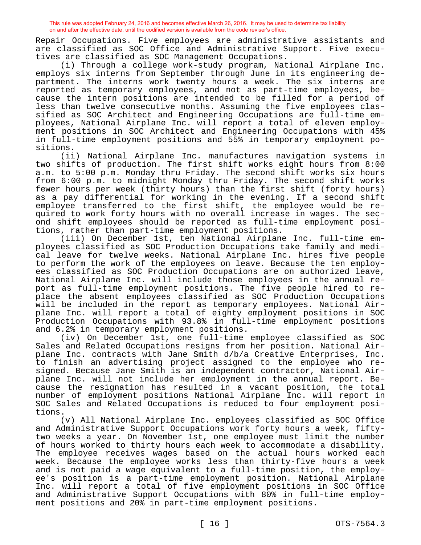Repair Occupations. Five employees are administrative assistants and are classified as SOC Office and Administrative Support. Five executives are classified as SOC Management Occupations.

(i) Through a college work-study program, National Airplane Inc. employs six interns from September through June in its engineering department. The interns work twenty hours a week. The six interns are reported as temporary employees, and not as part-time employees, because the intern positions are intended to be filled for a period of less than twelve consecutive months. Assuming the five employees classified as SOC Architect and Engineering Occupations are full-time employees, National Airplane Inc. will report a total of eleven employment positions in SOC Architect and Engineering Occupations with 45% in full-time employment positions and 55% in temporary employment positions.

(ii) National Airplane Inc. manufactures navigation systems in two shifts of production. The first shift works eight hours from 8:00 a.m. to 5:00 p.m. Monday thru Friday. The second shift works six hours from 6:00 p.m. to midnight Monday thru Friday. The second shift works fewer hours per week (thirty hours) than the first shift (forty hours) as a pay differential for working in the evening. If a second shift employee transferred to the first shift, the employee would be required to work forty hours with no overall increase in wages. The second shift employees should be reported as full-time employment positions, rather than part-time employment positions.

(iii) On December 1st, ten National Airplane Inc. full-time employees classified as SOC Production Occupations take family and medical leave for twelve weeks. National Airplane Inc. hires five people to perform the work of the employees on leave. Because the ten employees classified as SOC Production Occupations are on authorized leave, National Airplane Inc. will include those employees in the annual report as full-time employment positions. The five people hired to replace the absent employees classified as SOC Production Occupations will be included in the report as temporary employees. National Airplane Inc. will report a total of eighty employment positions in SOC Production Occupations with 93.8% in full-time employment positions and 6.2% in temporary employment positions.

(iv) On December 1st, one full-time employee classified as SOC Sales and Related Occupations resigns from her position. National Airplane Inc. contracts with Jane Smith d/b/a Creative Enterprises, Inc. to finish an advertising project assigned to the employee who resigned. Because Jane Smith is an independent contractor, National Airplane Inc. will not include her employment in the annual report. Because the resignation has resulted in a vacant position, the total number of employment positions National Airplane Inc. will report in SOC Sales and Related Occupations is reduced to four employment positions.

(v) All National Airplane Inc. employees classified as SOC Office and Administrative Support Occupations work forty hours a week, fiftytwo weeks a year. On November 1st, one employee must limit the number of hours worked to thirty hours each week to accommodate a disability. The employee receives wages based on the actual hours worked each week. Because the employee works less than thirty-five hours a week and is not paid a wage equivalent to a full-time position, the employee's position is a part-time employment position. National Airplane Inc. will report a total of five employment positions in SOC Office and Administrative Support Occupations with 80% in full-time employment positions and 20% in part-time employment positions.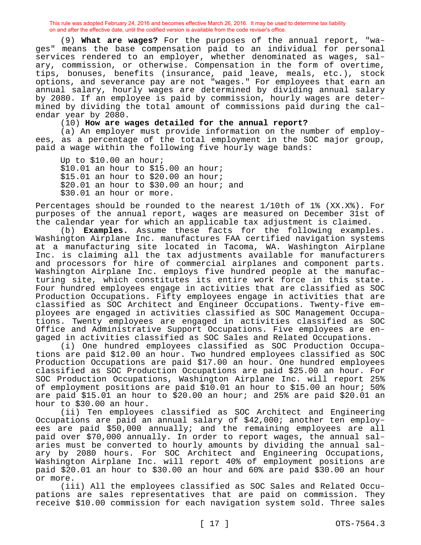(9) **What are wages?** For the purposes of the annual report, "wages" means the base compensation paid to an individual for personal services rendered to an employer, whether denominated as wages, salary, commission, or otherwise. Compensation in the form of overtime, tips, bonuses, benefits (insurance, paid leave, meals, etc.), stock options, and severance pay are not "wages." For employees that earn an annual salary, hourly wages are determined by dividing annual salary by 2080. If an employee is paid by commission, hourly wages are determined by dividing the total amount of commissions paid during the calendar year by 2080.

(10) **How are wages detailed for the annual report?**

(a) An employer must provide information on the number of employees, as a percentage of the total employment in the SOC major group, paid a wage within the following five hourly wage bands:

Up to \$10.00 an hour; \$10.01 an hour to \$15.00 an hour; \$15.01 an hour to \$20.00 an hour; \$20.01 an hour to \$30.00 an hour; and \$30.01 an hour or more.

Percentages should be rounded to the nearest 1/10th of 1% (XX.X%). For purposes of the annual report, wages are measured on December 31st of the calendar year for which an applicable tax adjustment is claimed.

(b) **Examples.** Assume these facts for the following examples. Washington Airplane Inc. manufactures FAA certified navigation systems at a manufacturing site located in Tacoma, WA. Washington Airplane Inc. is claiming all the tax adjustments available for manufacturers and processors for hire of commercial airplanes and component parts. Washington Airplane Inc. employs five hundred people at the manufacturing site, which constitutes its entire work force in this state. Four hundred employees engage in activities that are classified as SOC Production Occupations. Fifty employees engage in activities that are classified as SOC Architect and Engineer Occupations. Twenty-five employees are engaged in activities classified as SOC Management Occupations. Twenty employees are engaged in activities classified as SOC Office and Administrative Support Occupations. Five employees are engaged in activities classified as SOC Sales and Related Occupations.

(i) One hundred employees classified as SOC Production Occupations are paid \$12.00 an hour. Two hundred employees classified as SOC Production Occupations are paid \$17.00 an hour. One hundred employees classified as SOC Production Occupations are paid \$25.00 an hour. For SOC Production Occupations, Washington Airplane Inc. will report 25% of employment positions are paid \$10.01 an hour to \$15.00 an hour; 50% are paid \$15.01 an hour to \$20.00 an hour; and 25% are paid \$20.01 an hour to \$30.00 an hour.

(ii) Ten employees classified as SOC Architect and Engineering Occupations are paid an annual salary of \$42,000; another ten employees are paid \$50,000 annually; and the remaining employees are all paid over \$70,000 annually. In order to report wages, the annual salaries must be converted to hourly amounts by dividing the annual salary by 2080 hours. For SOC Architect and Engineering Occupations, Washington Airplane Inc. will report 40% of employment positions are paid \$20.01 an hour to \$30.00 an hour and 60% are paid \$30.00 an hour or more.

(iii) All the employees classified as SOC Sales and Related Occupations are sales representatives that are paid on commission. They receive \$10.00 commission for each navigation system sold. Three sales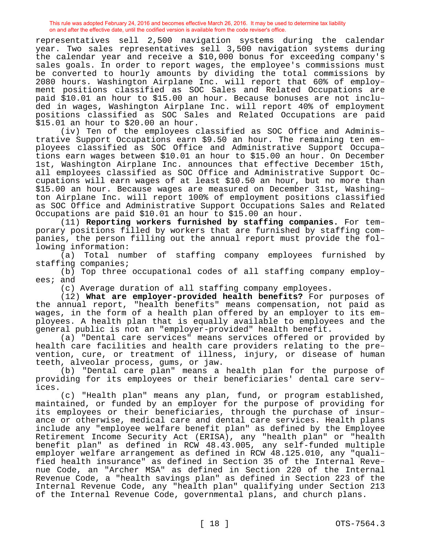representatives sell 2,500 navigation systems during the calendar year. Two sales representatives sell 3,500 navigation systems during the calendar year and receive a \$10,000 bonus for exceeding company's sales goals. In order to report wages, the employee's commissions must be converted to hourly amounts by dividing the total commissions by 2080 hours. Washington Airplane Inc. will report that 60% of employment positions classified as SOC Sales and Related Occupations are paid \$10.01 an hour to \$15.00 an hour. Because bonuses are not included in wages, Washington Airplane Inc. will report 40% of employment positions classified as SOC Sales and Related Occupations are paid \$15.01 an hour to \$20.00 an hour.

(iv) Ten of the employees classified as SOC Office and Administrative Support Occupations earn \$9.50 an hour. The remaining ten employees classified as SOC Office and Administrative Support Occupations earn wages between \$10.01 an hour to \$15.00 an hour. On December 1st, Washington Airplane Inc. announces that effective December 15th, all employees classified as SOC Office and Administrative Support Occupations will earn wages of at least \$10.50 an hour, but no more than \$15.00 an hour. Because wages are measured on December 31st, Washington Airplane Inc. will report 100% of employment positions classified as SOC Office and Administrative Support Occupations Sales and Related Occupations are paid \$10.01 an hour to \$15.00 an hour.

(11) **Reporting workers furnished by staffing companies.** For temporary positions filled by workers that are furnished by staffing companies, the person filling out the annual report must provide the following information:

(a) Total number of staffing company employees furnished by staffing companies;

(b) Top three occupational codes of all staffing company employees; and

(c) Average duration of all staffing company employees.

(12) **What are employer-provided health benefits?** For purposes of the annual report, "health benefits" means compensation, not paid as wages, in the form of a health plan offered by an employer to its employees. A health plan that is equally available to employees and the general public is not an "employer-provided" health benefit.

(a) "Dental care services" means services offered or provided by health care facilities and health care providers relating to the prevention, cure, or treatment of illness, injury, or disease of human teeth, alveolar process, gums, or jaw.

(b) "Dental care plan" means a health plan for the purpose of providing for its employees or their beneficiaries' dental care services.

(c) "Health plan" means any plan, fund, or program established, maintained, or funded by an employer for the purpose of providing for its employees or their beneficiaries, through the purchase of insurance or otherwise, medical care and dental care services. Health plans include any "employee welfare benefit plan" as defined by the Employee Retirement Income Security Act (ERISA), any "health plan" or "health benefit plan" as defined in RCW 48.43.005, any self-funded multiple employer welfare arrangement as defined in RCW 48.125.010, any "qualified health insurance" as defined in Section 35 of the Internal Revenue Code, an "Archer MSA" as defined in Section 220 of the Internal Revenue Code, a "health savings plan" as defined in Section 223 of the Internal Revenue Code, any "health plan" qualifying under Section 213 of the Internal Revenue Code, governmental plans, and church plans.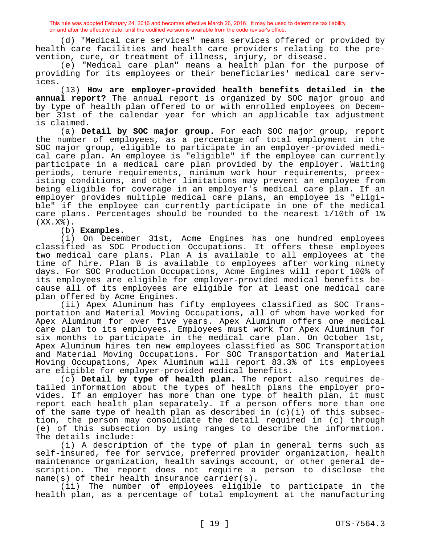(d) "Medical care services" means services offered or provided by health care facilities and health care providers relating to the prevention, cure, or treatment of illness, injury, or disease.

(e) "Medical care plan" means a health plan for the purpose of providing for its employees or their beneficiaries' medical care services.

(13) **How are employer-provided health benefits detailed in the annual report?** The annual report is organized by SOC major group and by type of health plan offered to or with enrolled employees on December 31st of the calendar year for which an applicable tax adjustment is claimed.

(a) **Detail by SOC major group.** For each SOC major group, report the number of employees, as a percentage of total employment in the SOC major group, eligible to participate in an employer-provided medical care plan. An employee is "eligible" if the employee can currently participate in a medical care plan provided by the employer. Waiting periods, tenure requirements, minimum work hour requirements, preexisting conditions, and other limitations may prevent an employee from being eligible for coverage in an employer's medical care plan. If an employer provides multiple medical care plans, an employee is "eligible" if the employee can currently participate in one of the medical care plans. Percentages should be rounded to the nearest 1/10th of 1% (XX.X%).

(b) **Examples.**

(i) On December 31st, Acme Engines has one hundred employees classified as SOC Production Occupations. It offers these employees two medical care plans. Plan A is available to all employees at the time of hire. Plan B is available to employees after working ninety days. For SOC Production Occupations, Acme Engines will report 100% of its employees are eligible for employer-provided medical benefits because all of its employees are eligible for at least one medical care plan offered by Acme Engines.

(ii) Apex Aluminum has fifty employees classified as SOC Transportation and Material Moving Occupations, all of whom have worked for Apex Aluminum for over five years. Apex Aluminum offers one medical care plan to its employees. Employees must work for Apex Aluminum for six months to participate in the medical care plan. On October 1st, Apex Aluminum hires ten new employees classified as SOC Transportation and Material Moving Occupations. For SOC Transportation and Material Moving Occupations, Apex Aluminum will report 83.3% of its employees are eligible for employer-provided medical benefits.

(c) **Detail by type of health plan.** The report also requires detailed information about the types of health plans the employer provides. If an employer has more than one type of health plan, it must report each health plan separately. If a person offers more than one of the same type of health plan as described in  $(c)(i)$  of this subsection, the person may consolidate the detail required in (c) through (e) of this subsection by using ranges to describe the information. The details include:

(i) A description of the type of plan in general terms such as self-insured, fee for service, preferred provider organization, health maintenance organization, health savings account, or other general description. The report does not require a person to disclose the name(s) of their health insurance carrier(s).

(ii) The number of employees eligible to participate in the health plan, as a percentage of total employment at the manufacturing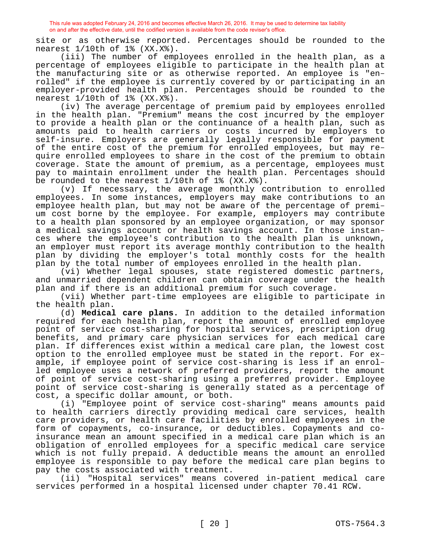site or as otherwise reported. Percentages should be rounded to the nearest 1/10th of 1% (XX.X%).

(iii) The number of employees enrolled in the health plan, as a percentage of employees eligible to participate in the health plan at the manufacturing site or as otherwise reported. An employee is "enrolled" if the employee is currently covered by or participating in an employer-provided health plan. Percentages should be rounded to the nearest 1/10th of 1% (XX.X%).

(iv) The average percentage of premium paid by employees enrolled in the health plan. "Premium" means the cost incurred by the employer to provide a health plan or the continuance of a health plan, such as amounts paid to health carriers or costs incurred by employers to self-insure. Employers are generally legally responsible for payment of the entire cost of the premium for enrolled employees, but may require enrolled employees to share in the cost of the premium to obtain coverage. State the amount of premium, as a percentage, employees must pay to maintain enrollment under the health plan. Percentages should be rounded to the nearest 1/10th of 1% (XX.X%).

(v) If necessary, the average monthly contribution to enrolled employees. In some instances, employers may make contributions to an employee health plan, but may not be aware of the percentage of premium cost borne by the employee. For example, employers may contribute to a health plan sponsored by an employee organization, or may sponsor a medical savings account or health savings account. In those instances where the employee's contribution to the health plan is unknown, an employer must report its average monthly contribution to the health plan by dividing the employer's total monthly costs for the health plan by the total number of employees enrolled in the health plan.

(vi) Whether legal spouses, state registered domestic partners, and unmarried dependent children can obtain coverage under the health plan and if there is an additional premium for such coverage.

(vii) Whether part-time employees are eligible to participate in the health plan.

(d) **Medical care plans.** In addition to the detailed information required for each health plan, report the amount of enrolled employee point of service cost-sharing for hospital services, prescription drug benefits, and primary care physician services for each medical care plan. If differences exist within a medical care plan, the lowest cost option to the enrolled employee must be stated in the report. For example, if employee point of service cost-sharing is less if an enrolled employee uses a network of preferred providers, report the amount of point of service cost-sharing using a preferred provider. Employee point of service cost-sharing is generally stated as a percentage of cost, a specific dollar amount, or both.

(i) "Employee point of service cost-sharing" means amounts paid to health carriers directly providing medical care services, health care providers, or health care facilities by enrolled employees in the form of copayments, co-insurance, or deductibles. Copayments and coinsurance mean an amount specified in a medical care plan which is an obligation of enrolled employees for a specific medical care service which is not fully prepaid. A deductible means the amount an enrolled employee is responsible to pay before the medical care plan begins to pay the costs associated with treatment.

(ii) "Hospital services" means covered in-patient medical care services performed in a hospital licensed under chapter 70.41 RCW.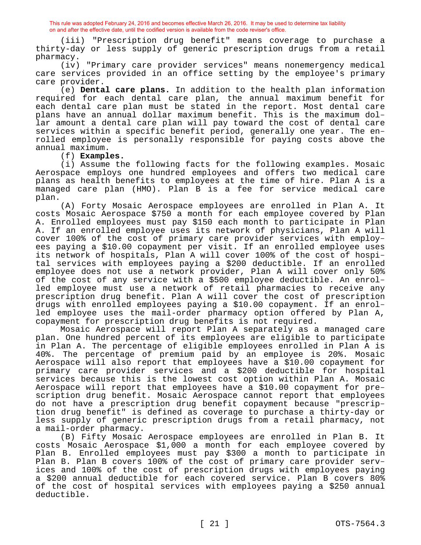(iii) "Prescription drug benefit" means coverage to purchase a thirty-day or less supply of generic prescription drugs from a retail pharmacy.

(iv) "Primary care provider services" means nonemergency medical care services provided in an office setting by the employee's primary care provider.

(e) **Dental care plans.** In addition to the health plan information required for each dental care plan, the annual maximum benefit for each dental care plan must be stated in the report. Most dental care plans have an annual dollar maximum benefit. This is the maximum dollar amount a dental care plan will pay toward the cost of dental care services within a specific benefit period, generally one year. The enrolled employee is personally responsible for paying costs above the annual maximum.

(f) **Examples.**

(i) Assume the following facts for the following examples. Mosaic Aerospace employs one hundred employees and offers two medical care plans as health benefits to employees at the time of hire. Plan A is a managed care plan (HMO). Plan B is a fee for service medical care plan.

(A) Forty Mosaic Aerospace employees are enrolled in Plan A. It costs Mosaic Aerospace \$750 a month for each employee covered by Plan A. Enrolled employees must pay \$150 each month to participate in Plan A. If an enrolled employee uses its network of physicians, Plan A will cover 100% of the cost of primary care provider services with employees paying a \$10.00 copayment per visit. If an enrolled employee uses its network of hospitals, Plan A will cover 100% of the cost of hospital services with employees paying a \$200 deductible. If an enrolled employee does not use a network provider, Plan A will cover only 50% of the cost of any service with a \$500 employee deductible. An enrolled employee must use a network of retail pharmacies to receive any prescription drug benefit. Plan A will cover the cost of prescription drugs with enrolled employees paying a \$10.00 copayment. If an enrolled employee uses the mail-order pharmacy option offered by Plan A, copayment for prescription drug benefits is not required.

Mosaic Aerospace will report Plan A separately as a managed care plan. One hundred percent of its employees are eligible to participate in Plan A. The percentage of eligible employees enrolled in Plan A is 40%. The percentage of premium paid by an employee is 20%. Mosaic Aerospace will also report that employees have a \$10.00 copayment for primary care provider services and a \$200 deductible for hospital services because this is the lowest cost option within Plan A. Mosaic Aerospace will report that employees have a \$10.00 copayment for prescription drug benefit. Mosaic Aerospace cannot report that employees do not have a prescription drug benefit copayment because "prescription drug benefit" is defined as coverage to purchase a thirty-day or less supply of generic prescription drugs from a retail pharmacy, not a mail-order pharmacy.

(B) Fifty Mosaic Aerospace employees are enrolled in Plan B. It costs Mosaic Aerospace \$1,000 a month for each employee covered by Plan B. Enrolled employees must pay \$300 a month to participate in Plan B. Plan B covers 100% of the cost of primary care provider services and 100% of the cost of prescription drugs with employees paying a \$200 annual deductible for each covered service. Plan B covers 80% of the cost of hospital services with employees paying a \$250 annual deductible.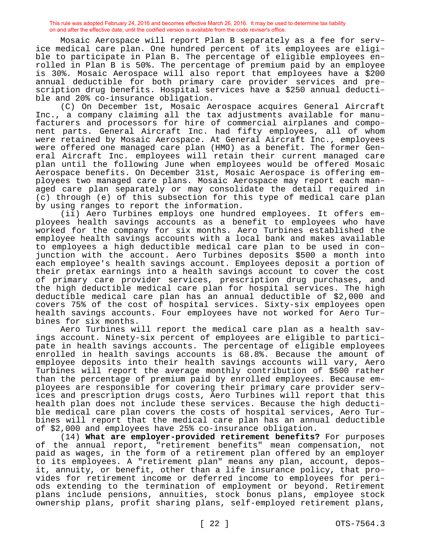Mosaic Aerospace will report Plan B separately as a fee for service medical care plan. One hundred percent of its employees are eligible to participate in Plan B. The percentage of eligible employees enrolled in Plan B is 50%. The percentage of premium paid by an employee is 30%. Mosaic Aerospace will also report that employees have a \$200 annual deductible for both primary care provider services and prescription drug benefits. Hospital services have a \$250 annual deductible and 20% co-insurance obligation.

(C) On December 1st, Mosaic Aerospace acquires General Aircraft Inc., a company claiming all the tax adjustments available for manufacturers and processors for hire of commercial airplanes and component parts. General Aircraft Inc. had fifty employees, all of whom were retained by Mosaic Aerospace. At General Aircraft Inc., employees were offered one managed care plan (HMO) as a benefit. The former General Aircraft Inc. employees will retain their current managed care plan until the following June when employees would be offered Mosaic Aerospace benefits. On December 31st, Mosaic Aerospace is offering employees two managed care plans. Mosaic Aerospace may report each managed care plan separately or may consolidate the detail required in (c) through (e) of this subsection for this type of medical care plan by using ranges to report the information.

(ii) Aero Turbines employs one hundred employees. It offers employees health savings accounts as a benefit to employees who have worked for the company for six months. Aero Turbines established the employee health savings accounts with a local bank and makes available to employees a high deductible medical care plan to be used in conjunction with the account. Aero Turbines deposits \$500 a month into each employee's health savings account. Employees deposit a portion of their pretax earnings into a health savings account to cover the cost of primary care provider services, prescription drug purchases, and the high deductible medical care plan for hospital services. The high deductible medical care plan has an annual deductible of \$2,000 and covers 75% of the cost of hospital services. Sixty-six employees open health savings accounts. Four employees have not worked for Aero Turbines for six months.

Aero Turbines will report the medical care plan as a health savings account. Ninety-six percent of employees are eligible to participate in health savings accounts. The percentage of eligible employees enrolled in health savings accounts is 68.8%. Because the amount of employee deposits into their health savings accounts will vary, Aero Turbines will report the average monthly contribution of \$500 rather than the percentage of premium paid by enrolled employees. Because employees are responsible for covering their primary care provider services and prescription drugs costs, Aero Turbines will report that this health plan does not include these services. Because the high deductible medical care plan covers the costs of hospital services, Aero Turbines will report that the medical care plan has an annual deductible of \$2,000 and employees have 25% co-insurance obligation.

(14) **What are employer-provided retirement benefits?** For purposes of the annual report, "retirement benefits" mean compensation, not paid as wages, in the form of a retirement plan offered by an employer to its employees. A "retirement plan" means any plan, account, deposit, annuity, or benefit, other than a life insurance policy, that provides for retirement income or deferred income to employees for periods extending to the termination of employment or beyond. Retirement plans include pensions, annuities, stock bonus plans, employee stock ownership plans, profit sharing plans, self-employed retirement plans,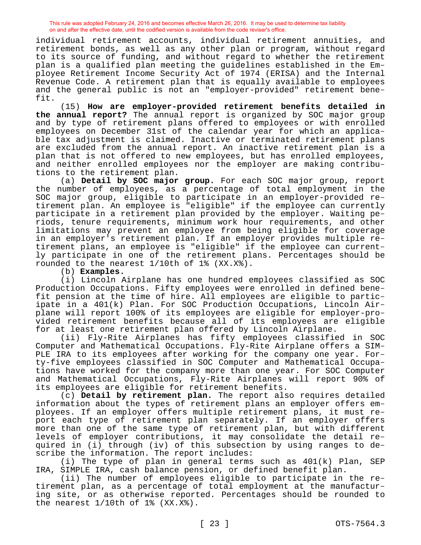individual retirement accounts, individual retirement annuities, and retirement bonds, as well as any other plan or program, without regard to its source of funding, and without regard to whether the retirement plan is a qualified plan meeting the guidelines established in the Employee Retirement Income Security Act of 1974 (ERISA) and the Internal Revenue Code. A retirement plan that is equally available to employees and the general public is not an "employer-provided" retirement benefit.

(15) **How are employer-provided retirement benefits detailed in the annual report?** The annual report is organized by SOC major group and by type of retirement plans offered to employees or with enrolled employees on December 31st of the calendar year for which an applicable tax adjustment is claimed. Inactive or terminated retirement plans are excluded from the annual report. An inactive retirement plan is a plan that is not offered to new employees, but has enrolled employees, and neither enrolled employees nor the employer are making contributions to the retirement plan.

(a) **Detail by SOC major group.** For each SOC major group, report the number of employees, as a percentage of total employment in the SOC major group, eligible to participate in an employer-provided retirement plan. An employee is "eligible" if the employee can currently participate in a retirement plan provided by the employer. Waiting periods, tenure requirements, minimum work hour requirements, and other limitations may prevent an employee from being eligible for coverage in an employer's retirement plan. If an employer provides multiple retirement plans, an employee is "eligible" if the employee can currently participate in one of the retirement plans. Percentages should be rounded to the nearest 1/10th of 1% (XX.X%).

(b) **Examples.**

(i) Lincoln Airplane has one hundred employees classified as SOC Production Occupations. Fifty employees were enrolled in defined benefit pension at the time of hire. All employees are eligible to participate in a 401(k) Plan. For SOC Production Occupations, Lincoln Airplane will report 100% of its employees are eligible for employer-provided retirement benefits because all of its employees are eligible for at least one retirement plan offered by Lincoln Airplane.

(ii) Fly-Rite Airplanes has fifty employees classified in SOC Computer and Mathematical Occupations. Fly-Rite Airplane offers a SIM-PLE IRA to its employees after working for the company one year. Forty-five employees classified in SOC Computer and Mathematical Occupations have worked for the company more than one year. For SOC Computer and Mathematical Occupations, Fly-Rite Airplanes will report 90% of its employees are eligible for retirement benefits.

(c) **Detail by retirement plan.** The report also requires detailed information about the types of retirement plans an employer offers employees. If an employer offers multiple retirement plans, it must report each type of retirement plan separately. If an employer offers more than one of the same type of retirement plan, but with different levels of employer contributions, it may consolidate the detail required in (i) through (iv) of this subsection by using ranges to describe the information. The report includes:

(i) The type of plan in general terms such as 401(k) Plan, SEP IRA, SIMPLE IRA, cash balance pension, or defined benefit plan.

(ii) The number of employees eligible to participate in the retirement plan, as a percentage of total employment at the manufacturing site, or as otherwise reported. Percentages should be rounded to the nearest 1/10th of 1% (XX.X%).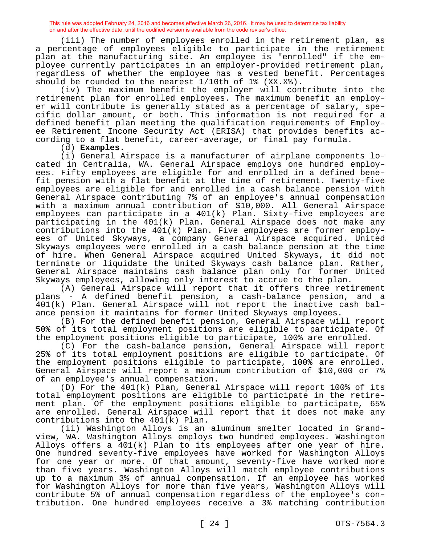(iii) The number of employees enrolled in the retirement plan, as a percentage of employees eligible to participate in the retirement plan at the manufacturing site. An employee is "enrolled" if the employee currently participates in an employer-provided retirement plan, regardless of whether the employee has a vested benefit. Percentages should be rounded to the nearest 1/10th of 1% (XX.X%).

(iv) The maximum benefit the employer will contribute into the retirement plan for enrolled employees. The maximum benefit an employer will contribute is generally stated as a percentage of salary, specific dollar amount, or both. This information is not required for a defined benefit plan meeting the qualification requirements of Employee Retirement Income Security Act (ERISA) that provides benefits according to a flat benefit, career-average, or final pay formula.

(d) **Examples.**

(i) General Airspace is a manufacturer of airplane components located in Centralia, WA. General Airspace employs one hundred employees. Fifty employees are eligible for and enrolled in a defined benefit pension with a flat benefit at the time of retirement. Twenty-five employees are eligible for and enrolled in a cash balance pension with General Airspace contributing 7% of an employee's annual compensation with a maximum annual contribution of \$10,000. All General Airspace employees can participate in a 401(k) Plan. Sixty-five employees are participating in the 401(k) Plan. General Airspace does not make any contributions into the  $401(k)$  Plan. Five employees are former employees of United Skyways, a company General Airspace acquired. United Skyways employees were enrolled in a cash balance pension at the time of hire. When General Airspace acquired United Skyways, it did not terminate or liquidate the United Skyways cash balance plan. Rather, General Airspace maintains cash balance plan only for former United Skyways employees, allowing only interest to accrue to the plan.

(A) General Airspace will report that it offers three retirement plans - A defined benefit pension, a cash-balance pension, and a 401(k) Plan. General Airspace will not report the inactive cash balance pension it maintains for former United Skyways employees.

(B) For the defined benefit pension, General Airspace will report 50% of its total employment positions are eligible to participate. Of the employment positions eligible to participate, 100% are enrolled.

(C) For the cash-balance pension, General Airspace will report 25% of its total employment positions are eligible to participate. Of the employment positions eligible to participate, 100% are enrolled. General Airspace will report a maximum contribution of \$10,000 or 7% of an employee's annual compensation.

(D) For the 401(k) Plan, General Airspace will report 100% of its total employment positions are eligible to participate in the retirement plan. Of the employment positions eligible to participate, 65% are enrolled. General Airspace will report that it does not make any contributions into the 401(k) Plan.

(ii) Washington Alloys is an aluminum smelter located in Grandview, WA. Washington Alloys employs two hundred employees. Washington Alloys offers a 401(k) Plan to its employees after one year of hire. One hundred seventy-five employees have worked for Washington Alloys for one year or more. Of that amount, seventy-five have worked more than five years. Washington Alloys will match employee contributions up to a maximum 3% of annual compensation. If an employee has worked for Washington Alloys for more than five years, Washington Alloys will contribute 5% of annual compensation regardless of the employee's contribution. One hundred employees receive a 3% matching contribution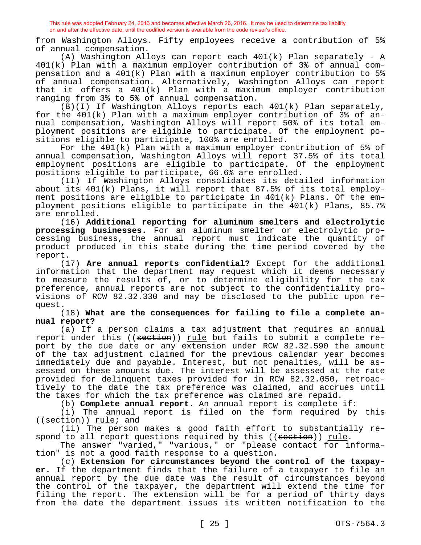from Washington Alloys. Fifty employees receive a contribution of 5% of annual compensation.

(A) Washington Alloys can report each 401(k) Plan separately - A 401(k) Plan with a maximum employer contribution of 3% of annual compensation and a 401(k) Plan with a maximum employer contribution to 5% of annual compensation. Alternatively, Washington Alloys can report that it offers a 401(k) Plan with a maximum employer contribution ranging from 3% to 5% of annual compensation.

(B)(I) If Washington Alloys reports each 401(k) Plan separately, for the 401(k) Plan with a maximum employer contribution of 3% of annual compensation, Washington Alloys will report 50% of its total employment positions are eligible to participate. Of the employment positions eligible to participate, 100% are enrolled.

For the 401(k) Plan with a maximum employer contribution of 5% of annual compensation, Washington Alloys will report 37.5% of its total employment positions are eligible to participate. Of the employment positions eligible to participate, 66.6% are enrolled.

(II) If Washington Alloys consolidates its detailed information about its 401(k) Plans, it will report that 87.5% of its total employment positions are eligible to participate in 401(k) Plans. Of the employment positions eligible to participate in the 401(k) Plans, 85.7% are enrolled.

(16) **Additional reporting for aluminum smelters and electrolytic processing businesses.** For an aluminum smelter or electrolytic processing business, the annual report must indicate the quantity of product produced in this state during the time period covered by the report.

(17) **Are annual reports confidential?** Except for the additional information that the department may request which it deems necessary to measure the results of, or to determine eligibility for the tax preference, annual reports are not subject to the confidentiality provisions of RCW 82.32.330 and may be disclosed to the public upon request.

(18) **What are the consequences for failing to file a complete annual report?**

(a) If a person claims a tax adjustment that requires an annual report under this ((section)) rule but fails to submit a complete report by the due date or any extension under RCW 82.32.590 the amount of the tax adjustment claimed for the previous calendar year becomes immediately due and payable. Interest, but not penalties, will be assessed on these amounts due. The interest will be assessed at the rate provided for delinquent taxes provided for in RCW 82.32.050, retroactively to the date the tax preference was claimed, and accrues until the taxes for which the tax preference was claimed are repaid.

(b) **Complete annual report.** An annual report is complete if:

(i) The annual report is filed on the form required by this ((section)) rule; and

(ii) The person makes a good faith effort to substantially respond to all report questions required by this ((section)) rule.

The answer "varied," "various," or "please contact for information" is not a good faith response to a question.

(c) **Extension for circumstances beyond the control of the taxpayer.** If the department finds that the failure of a taxpayer to file an annual report by the due date was the result of circumstances beyond the control of the taxpayer, the department will extend the time for filing the report. The extension will be for a period of thirty days from the date the department issues its written notification to the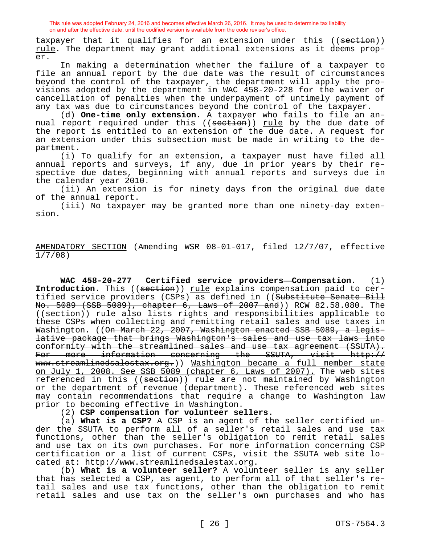taxpayer that it qualifies for an extension under this ((section)) rule. The department may grant additional extensions as it deems proper.

In making a determination whether the failure of a taxpayer to file an annual report by the due date was the result of circumstances beyond the control of the taxpayer, the department will apply the provisions adopted by the department in WAC 458-20-228 for the waiver or cancellation of penalties when the underpayment of untimely payment of any tax was due to circumstances beyond the control of the taxpayer.

(d) **One-time only extension.** A taxpayer who fails to file an annual report required under this ((section)) <u>rule</u> by the due date of the report is entitled to an extension of the due date. A request for an extension under this subsection must be made in writing to the department.

(i) To qualify for an extension, a taxpayer must have filed all annual reports and surveys, if any, due in prior years by their respective due dates, beginning with annual reports and surveys due in the calendar year 2010.

(ii) An extension is for ninety days from the original due date of the annual report.

(iii) No taxpayer may be granted more than one ninety-day extension.

AMENDATORY SECTION (Amending WSR 08-01-017, filed 12/7/07, effective 1/7/08)

**WAC 458-20-277 Certified service providers—Compensation.** (1) **Introduction.** This ((section)) rule explains compensation paid to certified service providers (CSPs) as defined in ((Substitute Senate Bill No. 5089 (SSB 5089), chapter 6, Laws of 2007 and)) RCW 82.58.080. The ((section)) rule also lists rights and responsibilities applicable to these CSPs when collecting and remitting retail sales and use taxes in Washington. ((On March 22, 2007, Washington enacted SSB 5089, a legislative package that brings Washington's sales and use tax laws into conformity with the streamlined sales and use tax agreement (SSUTA). For more information concerning the SSUTA, visit http:// www.streamlinedsalestax.org.)) Washington became a full member state on July 1, 2008. See SSB 5089 (chapter 6, Laws of 2007). The web sites referenced in this ((section)) rule are not maintained by Washington or the department of revenue (department). These referenced web sites may contain recommendations that require a change to Washington law prior to becoming effective in Washington.

(2) **CSP compensation for volunteer sellers.**

(a) **What is a CSP?** A CSP is an agent of the seller certified under the SSUTA to perform all of a seller's retail sales and use tax functions, other than the seller's obligation to remit retail sales and use tax on its own purchases. For more information concerning CSP certification or a list of current CSPs, visit the SSUTA web site located at: http://www.streamlinedsalestax.org.

(b) **What is a volunteer seller?** A volunteer seller is any seller that has selected a CSP, as agent, to perform all of that seller's retail sales and use tax functions, other than the obligation to remit retail sales and use tax on the seller's own purchases and who has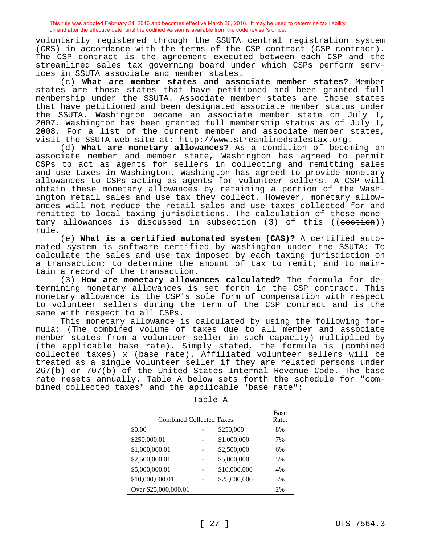voluntarily registered through the SSUTA central registration system (CRS) in accordance with the terms of the CSP contract (CSP contract). The CSP contract is the agreement executed between each CSP and the streamlined sales tax governing board under which CSPs perform services in SSUTA associate and member states.

(c) **What are member states and associate member states?** Member states are those states that have petitioned and been granted full membership under the SSUTA. Associate member states are those states that have petitioned and been designated associate member status under the SSUTA. Washington became an associate member state on July 1, 2007. Washington has been granted full membership status as of July 1, 2008. For a list of the current member and associate member states, visit the SSUTA web site at: http://www.streamlinedsalestax.org.

(d) **What are monetary allowances?** As a condition of becoming an associate member and member state, Washington has agreed to permit CSPs to act as agents for sellers in collecting and remitting sales and use taxes in Washington. Washington has agreed to provide monetary allowances to CSPs acting as agents for volunteer sellers. A CSP will obtain these monetary allowances by retaining a portion of the Washington retail sales and use tax they collect. However, monetary allowances will not reduce the retail sales and use taxes collected for and remitted to local taxing jurisdictions. The calculation of these monetary allowances is discussed in subsection (3) of this ((seetion)) rule.

(e) **What is a certified automated system (CAS)?** A certified automated system is software certified by Washington under the SSUTA: To calculate the sales and use tax imposed by each taxing jurisdiction on a transaction; to determine the amount of tax to remit; and to maintain a record of the transaction.

(3) **How are monetary allowances calculated?** The formula for determining monetary allowances is set forth in the CSP contract. This monetary allowance is the CSP's sole form of compensation with respect to volunteer sellers during the term of the CSP contract and is the same with respect to all CSPs.

This monetary allowance is calculated by using the following formula: (The combined volume of taxes due to all member and associate member states from a volunteer seller in such capacity) multiplied by (the applicable base rate). Simply stated, the formula is (combined collected taxes) x (base rate). Affiliated volunteer sellers will be treated as a single volunteer seller if they are related persons under 267(b) or 707(b) of the United States Internal Revenue Code. The base rate resets annually. Table A below sets forth the schedule for "combined collected taxes" and the applicable "base rate":

| <b>Combined Collected Taxes:</b> |  |              | Base<br>Rate: |
|----------------------------------|--|--------------|---------------|
| \$0.00                           |  | \$250,000    | 8%            |
| \$250,000.01                     |  | \$1,000,000  | 7%            |
| \$1,000,000.01                   |  | \$2,500,000  | 6%            |
| \$2,500,000.01                   |  | \$5,000,000  | 5%            |
| \$5,000,000.01                   |  | \$10,000,000 | 4%            |
| \$10,000,000.01                  |  | \$25,000,000 | 3%            |
| Over \$25,000,000.01             |  |              | 2%            |

Table A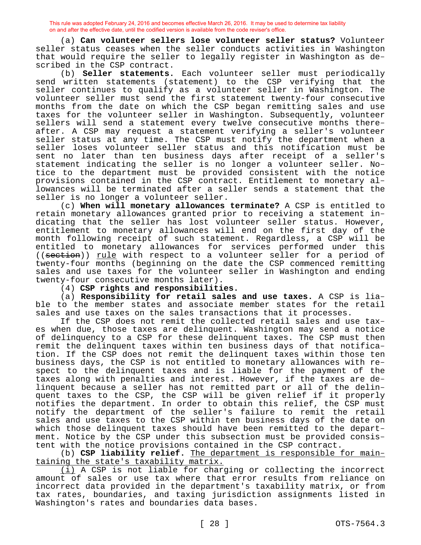(a) **Can volunteer sellers lose volunteer seller status?** Volunteer seller status ceases when the seller conducts activities in Washington that would require the seller to legally register in Washington as described in the CSP contract.

(b) **Seller statements.** Each volunteer seller must periodically send written statements (statement) to the CSP verifying that the seller continues to qualify as a volunteer seller in Washington. The volunteer seller must send the first statement twenty-four consecutive months from the date on which the CSP began remitting sales and use taxes for the volunteer seller in Washington. Subsequently, volunteer sellers will send a statement every twelve consecutive months thereafter. A CSP may request a statement verifying a seller's volunteer seller status at any time. The CSP must notify the department when a seller loses volunteer seller status and this notification must be sent no later than ten business days after receipt of a seller's statement indicating the seller is no longer a volunteer seller. Notice to the department must be provided consistent with the notice provisions contained in the CSP contract. Entitlement to monetary allowances will be terminated after a seller sends a statement that the seller is no longer a volunteer seller.

(c) **When will monetary allowances terminate?** A CSP is entitled to retain monetary allowances granted prior to receiving a statement indicating that the seller has lost volunteer seller status. However, entitlement to monetary allowances will end on the first day of the month following receipt of such statement. Regardless, a CSP will be entitled to monetary allowances for services performed under this ((section)) rule with respect to a volunteer seller for a period of twenty-four months (beginning on the date the CSP commenced remitting sales and use taxes for the volunteer seller in Washington and ending twenty-four consecutive months later).

(4) **CSP rights and responsibilities.**

(a) **Responsibility for retail sales and use taxes.** A CSP is liable to the member states and associate member states for the retail sales and use taxes on the sales transactions that it processes.

If the CSP does not remit the collected retail sales and use taxes when due, those taxes are delinquent. Washington may send a notice of delinquency to a CSP for these delinquent taxes. The CSP must then remit the delinquent taxes within ten business days of that notification. If the CSP does not remit the delinquent taxes within those ten business days, the CSP is not entitled to monetary allowances with respect to the delinquent taxes and is liable for the payment of the taxes along with penalties and interest. However, if the taxes are delinquent because a seller has not remitted part or all of the delinquent taxes to the CSP, the CSP will be given relief if it properly notifies the department. In order to obtain this relief, the CSP must notify the department of the seller's failure to remit the retail sales and use taxes to the CSP within ten business days of the date on which those delinquent taxes should have been remitted to the department. Notice by the CSP under this subsection must be provided consistent with the notice provisions contained in the CSP contract.

(b) **CSP liability relief.** The department is responsible for maintaining the state's taxability matrix.

(i) A CSP is not liable for charging or collecting the incorrect amount of sales or use tax where that error results from reliance on incorrect data provided in the department's taxability matrix, or from tax rates, boundaries, and taxing jurisdiction assignments listed in Washington's rates and boundaries data bases.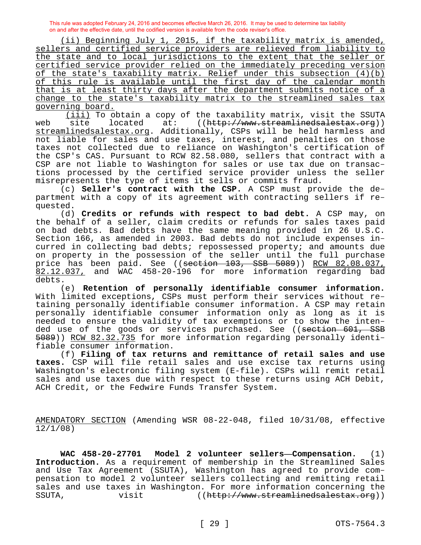(ii) Beginning July 1, 2015, if the taxability matrix is amended, sellers and certified service providers are relieved from liability to the state and to local jurisdictions to the extent that the seller or certified service provider relied on the immediately preceding version of the state's taxability matrix. Relief under this subsection (4)(b) of this rule is available until the first day of the calendar month that is at least thirty days after the department submits notice of a change to the state's taxability matrix to the streamlined sales tax governing board.

(iii) To obtain a copy of the taxability matrix, visit the SSUTA web site located at: ((http://www.streamlinedsalestax.org)) streamlinedsalestax.org. Additionally, CSPs will be held harmless and not liable for sales and use taxes, interest, and penalties on those taxes not collected due to reliance on Washington's certification of the CSP's CAS. Pursuant to RCW 82.58.080, sellers that contract with a CSP are not liable to Washington for sales or use tax due on transactions processed by the certified service provider unless the seller misrepresents the type of items it sells or commits fraud.

(c) **Seller's contract with the CSP.** A CSP must provide the department with a copy of its agreement with contracting sellers if requested.

(d) **Credits or refunds with respect to bad debt.** A CSP may, on the behalf of a seller, claim credits or refunds for sales taxes paid on bad debts. Bad debts have the same meaning provided in 26 U.S.C. Section 166, as amended in 2003. Bad debts do not include expenses incurred in collecting bad debts; repossessed property; and amounts due on property in the possession of the seller until the full purchase price has been paid. See ((<del>section 103, SSB 5089</del>)) RCW 82.08.037, 82.12.037, and WAC 458-20-196 for more information regarding bad debts.

(e) **Retention of personally identifiable consumer information.**  With limited exceptions, CSPs must perform their services without retaining personally identifiable consumer information. A CSP may retain personally identifiable consumer information only as long as it is needed to ensure the validity of tax exemptions or to show the intended use of the goods or services purchased. See ((section 601, SSB 5089)) RCW 82.32.735 for more information regarding personally identifiable consumer information.

(f) **Filing of tax returns and remittance of retail sales and use taxes.** CSP will file retail sales and use excise tax returns using Washington's electronic filing system (E-file). CSPs will remit retail sales and use taxes due with respect to these returns using ACH Debit, ACH Credit, or the Fedwire Funds Transfer System.

AMENDATORY SECTION (Amending WSR 08-22-048, filed 10/31/08, effective 12/1/08)

**WAC 458-20-27701 Model 2 volunteer sellers—Compensation.** (1) **Introduction.** As a requirement of membership in the Streamlined Sales and Use Tax Agreement (SSUTA), Washington has agreed to provide compensation to model 2 volunteer sellers collecting and remitting retail sales and use taxes in Washington. For more information concerning the SSUTA,  $visit$  ((http://www.streamlinedsalestax.org))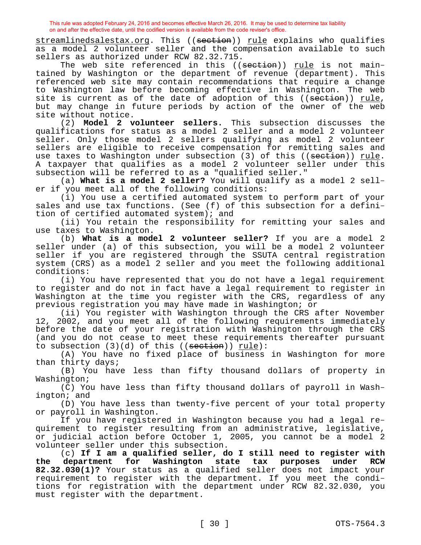streamlinedsalestax.org. This ((section)) rule explains who qualifies as a model 2 volunteer seller and the compensation available to such sellers as authorized under RCW 82.32.715.

The web site referenced in this ((section)) rule is not maintained by Washington or the department of revenue (department). This referenced web site may contain recommendations that require a change to Washington law before becoming effective in Washington. The web site is current as of the date of adoption of this ((section)) rule, but may change in future periods by action of the owner of the web site without notice.

(2) **Model 2 volunteer sellers.** This subsection discusses the qualifications for status as a model 2 seller and a model 2 volunteer seller. Only those model 2 sellers qualifying as model 2 volunteer sellers are eligible to receive compensation for remitting sales and use taxes to Washington under subsection (3) of this ((section)) rule. A taxpayer that qualifies as a model 2 volunteer seller under this subsection will be referred to as a "qualified seller."

(a) **What is a model 2 seller?** You will qualify as a model 2 seller if you meet all of the following conditions:

(i) You use a certified automated system to perform part of your sales and use tax functions. (See (f) of this subsection for a definition of certified automated system); and

(ii) You retain the responsibility for remitting your sales and use taxes to Washington.

(b) **What is a model 2 volunteer seller?** If you are a model 2 seller under (a) of this subsection, you will be a model 2 volunteer seller if you are registered through the SSUTA central registration system (CRS) as a model 2 seller and you meet the following additional conditions:

(i) You have represented that you do not have a legal requirement to register and do not in fact have a legal requirement to register in Washington at the time you register with the CRS, regardless of any previous registration you may have made in Washington; or

(ii) You register with Washington through the CRS after November 12, 2002, and you meet all of the following requirements immediately before the date of your registration with Washington through the CRS (and you do not cease to meet these requirements thereafter pursuant to subsection  $(3)(d)$  of this  $((section))$  rule):

(A) You have no fixed place of business in Washington for more than thirty days;

(B) You have less than fifty thousand dollars of property in Washington;

(C) You have less than fifty thousand dollars of payroll in Washington; and

(D) You have less than twenty-five percent of your total property or payroll in Washington.

If you have registered in Washington because you had a legal requirement to register resulting from an administrative, legislative, or judicial action before October 1, 2005, you cannot be a model 2 volunteer seller under this subsection.

(c) **If I am a qualified seller, do I still need to register with the department for Washington state tax purposes under RCW 82.32.030(1)?** Your status as a qualified seller does not impact your requirement to register with the department. If you meet the conditions for registration with the department under RCW 82.32.030, you must register with the department.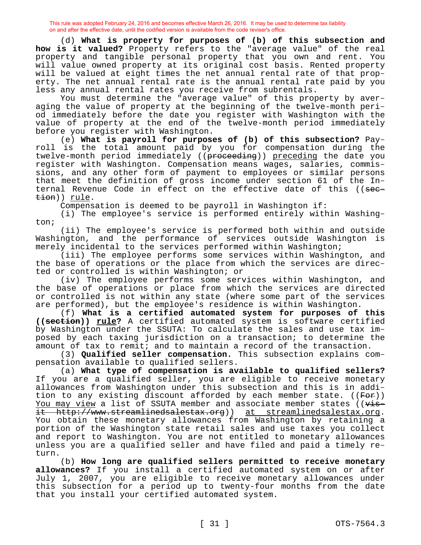(d) **What is property for purposes of (b) of this subsection and how is it valued?** Property refers to the "average value" of the real property and tangible personal property that you own and rent. You will value owned property at its original cost basis. Rented property will be valued at eight times the net annual rental rate of that property. The net annual rental rate is the annual rental rate paid by you less any annual rental rates you receive from subrentals.

You must determine the "average value" of this property by averaging the value of property at the beginning of the twelve-month period immediately before the date you register with Washington with the value of property at the end of the twelve-month period immediately before you register with Washington.

(e) **What is payroll for purposes of (b) of this subsection?** Payroll is the total amount paid by you for compensation during the twelve-month period immediately ((proceeding)) preceding the date you register with Washington. Compensation means wages, salaries, commissions, and any other form of payment to employees or similar persons that meet the definition of gross income under section 61 of the Internal Revenue Code in effect on the effective date of this ((<del>sec-</del> tion)) rule.

Compensation is deemed to be payroll in Washington if:

(i) The employee's service is performed entirely within Washington;

(ii) The employee's service is performed both within and outside Washington, and the performance of services outside Washington is merely incidental to the services performed within Washington;

(iii) The employee performs some services within Washington, and the base of operations or the place from which the services are directed or controlled is within Washington; or

(iv) The employee performs some services within Washington, and the base of operations or place from which the services are directed or controlled is not within any state (where some part of the services are performed), but the employee's residence is within Washington.

(f) **What is a certified automated system for purposes of this ((section)) rule?** A certified automated system is software certified by Washington under the SSUTA: To calculate the sales and use tax imposed by each taxing jurisdiction on a transaction; to determine the amount of tax to remit; and to maintain a record of the transaction.

(3) **Qualified seller compensation.** This subsection explains compensation available to qualified sellers.

(a) **What type of compensation is available to qualified sellers?**  If you are a qualified seller, you are eligible to receive monetary allowances from Washington under this subsection and this is in addition to any existing discount afforded by each member state.  $((For) )$ You may view a list of SSUTA member and associate member states ((visit http://www.streamlinedsalestax.org)) at streamlinedsalestax.org. You obtain these monetary allowances from Washington by retaining a portion of the Washington state retail sales and use taxes you collect and report to Washington. You are not entitled to monetary allowances unless you are a qualified seller and have filed and paid a timely return.

(b) **How long are qualified sellers permitted to receive monetary allowances?** If you install a certified automated system on or after July 1, 2007, you are eligible to receive monetary allowances under this subsection for a period up to twenty-four months from the date that you install your certified automated system.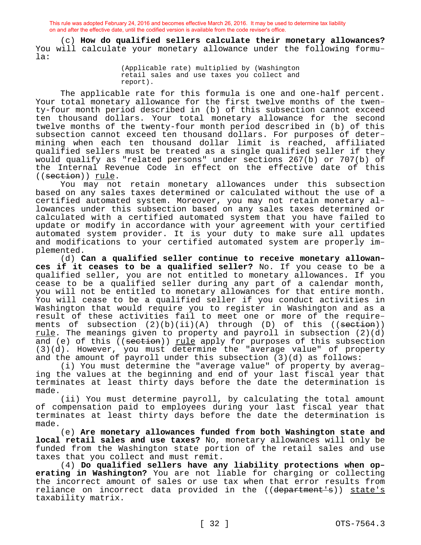(c) **How do qualified sellers calculate their monetary allowances?**  You will calculate your monetary allowance under the following formula:

> (Applicable rate) multiplied by (Washington retail sales and use taxes you collect and report).

The applicable rate for this formula is one and one-half percent. Your total monetary allowance for the first twelve months of the twenty-four month period described in (b) of this subsection cannot exceed ten thousand dollars. Your total monetary allowance for the second twelve months of the twenty-four month period described in (b) of this subsection cannot exceed ten thousand dollars. For purposes of determining when each ten thousand dollar limit is reached, affiliated qualified sellers must be treated as a single qualified seller if they would qualify as "related persons" under sections 267(b) or 707(b) of the Internal Revenue Code in effect on the effective date of this ((section)) rule.

You may not retain monetary allowances under this subsection based on any sales taxes determined or calculated without the use of a certified automated system. Moreover, you may not retain monetary allowances under this subsection based on any sales taxes determined or calculated with a certified automated system that you have failed to update or modify in accordance with your agreement with your certified automated system provider. It is your duty to make sure all updates and modifications to your certified automated system are properly implemented.

(d) **Can a qualified seller continue to receive monetary allowances if it ceases to be a qualified seller?** No. If you cease to be a qualified seller, you are not entitled to monetary allowances. If you cease to be a qualified seller during any part of a calendar month, you will not be entitled to monetary allowances for that entire month. You will cease to be a qualified seller if you conduct activities in Washington that would require you to register in Washington and as a result of these activities fail to meet one or more of the requirements of subsection  $(2)(b)(ii)(A)$  through  $(D)$  of this  $((seten))$ rule. The meanings given to property and payroll in subsection  $(2)(d)$ and (e) of this  $($ section)) <u>rule</u> apply for purposes of this subsection (3)(d). However, you must determine the "average value" of property and the amount of payroll under this subsection (3)(d) as follows:

(i) You must determine the "average value" of property by averaging the values at the beginning and end of your last fiscal year that terminates at least thirty days before the date the determination is made.

(ii) You must determine payroll, by calculating the total amount of compensation paid to employees during your last fiscal year that terminates at least thirty days before the date the determination is made.

(e) **Are monetary allowances funded from both Washington state and local retail sales and use taxes?** No, monetary allowances will only be funded from the Washington state portion of the retail sales and use taxes that you collect and must remit.

(4) **Do qualified sellers have any liability protections when operating in Washington?** You are not liable for charging or collecting the incorrect amount of sales or use tax when that error results from reliance on incorrect data provided in the ((department's)) state's taxability matrix.